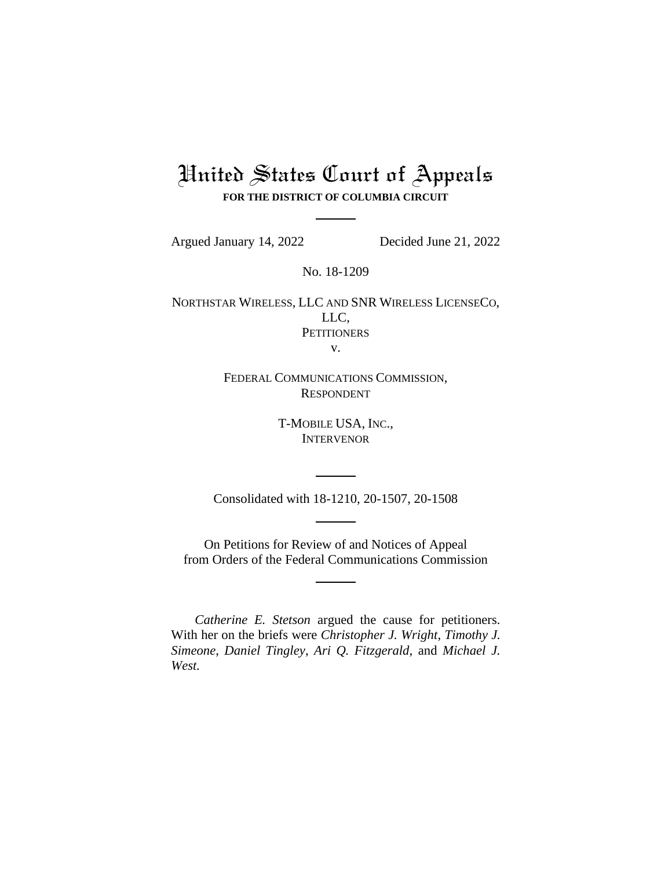# United States Court of Appeals **FOR THE DISTRICT OF COLUMBIA CIRCUIT**

Argued January 14, 2022 Decided June 21, 2022

No. 18-1209

NORTHSTAR WIRELESS, LLC AND SNR WIRELESS LICENSECO, LLC, **PETITIONERS** v.

> FEDERAL COMMUNICATIONS COMMISSION, RESPONDENT

> > T-MOBILE USA, INC., INTERVENOR

Consolidated with 18-1210, 20-1507, 20-1508

On Petitions for Review of and Notices of Appeal from Orders of the Federal Communications Commission

*Catherine E. Stetson* argued the cause for petitioners. With her on the briefs were *Christopher J. Wright*, *Timothy J. Simeone*, *Daniel Tingley*, *Ari Q. Fitzgerald*, and *Michael J. West.*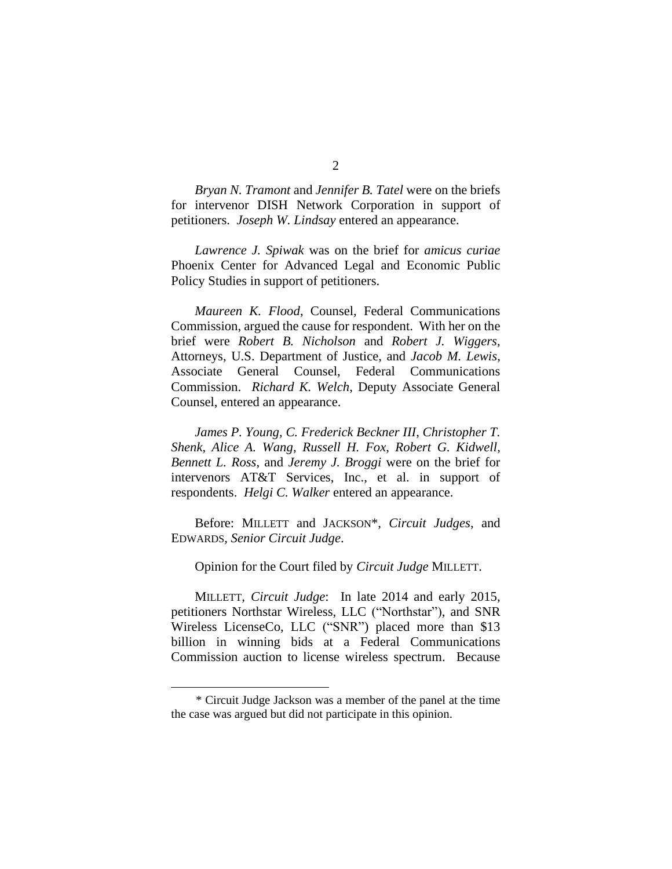*Bryan N. Tramont* and *Jennifer B. Tatel* were on the briefs for intervenor DISH Network Corporation in support of petitioners. *Joseph W. Lindsay* entered an appearance.

*Lawrence J. Spiwak* was on the brief for *amicus curiae*  Phoenix Center for Advanced Legal and Economic Public Policy Studies in support of petitioners.

*Maureen K. Flood*, Counsel, Federal Communications Commission, argued the cause for respondent. With her on the brief were *Robert B. Nicholson* and *Robert J. Wiggers*, Attorneys, U.S. Department of Justice, and *Jacob M. Lewis*, Associate General Counsel, Federal Communications Commission. *Richard K. Welch*, Deputy Associate General Counsel, entered an appearance.

*James P. Young, C. Frederick Beckner III*, *Christopher T. Shenk*, *Alice A. Wang*, *Russell H. Fox*, *Robert G. Kidwell*, *Bennett L. Ross*, and *Jeremy J. Broggi* were on the brief for intervenors AT&T Services, Inc., et al. in support of respondents. *Helgi C. Walker* entered an appearance.

Before: MILLETT and JACKSON\*, *Circuit Judges*, and EDWARDS, *Senior Circuit Judge*.

Opinion for the Court filed by *Circuit Judge* MILLETT.

MILLETT, *Circuit Judge*: In late 2014 and early 2015, petitioners Northstar Wireless, LLC ("Northstar"), and SNR Wireless LicenseCo, LLC ("SNR") placed more than \$13 billion in winning bids at a Federal Communications Commission auction to license wireless spectrum. Because

<sup>\*</sup> Circuit Judge Jackson was a member of the panel at the time the case was argued but did not participate in this opinion.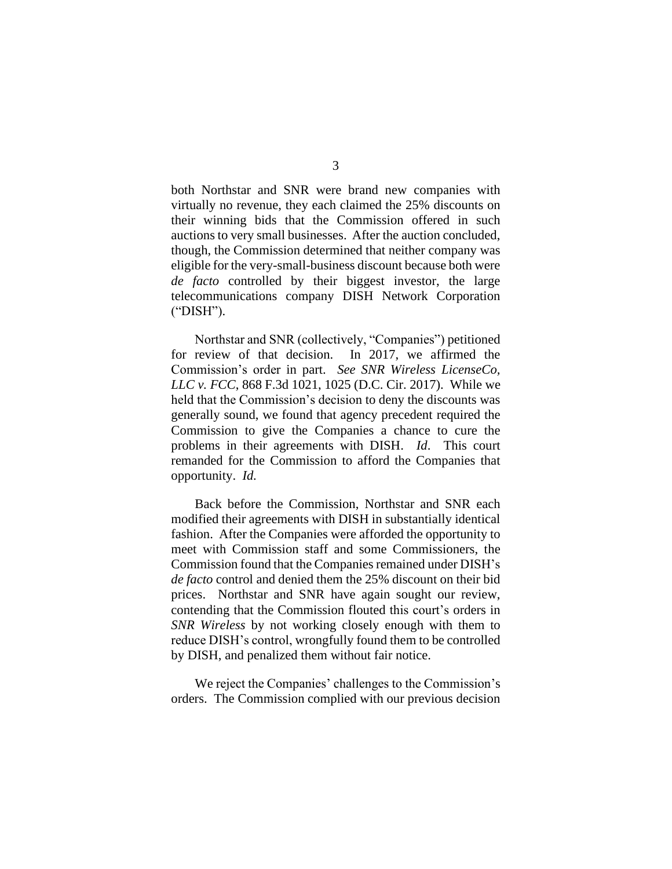both Northstar and SNR were brand new companies with virtually no revenue, they each claimed the 25% discounts on their winning bids that the Commission offered in such auctions to very small businesses. After the auction concluded, though, the Commission determined that neither company was eligible for the very-small-business discount because both were *de facto* controlled by their biggest investor, the large telecommunications company DISH Network Corporation ("DISH").

Northstar and SNR (collectively, "Companies") petitioned for review of that decision. In 2017, we affirmed the Commission's order in part. *See SNR Wireless LicenseCo, LLC v. FCC*, 868 F.3d 1021, 1025 (D.C. Cir. 2017). While we held that the Commission's decision to deny the discounts was generally sound, we found that agency precedent required the Commission to give the Companies a chance to cure the problems in their agreements with DISH. *Id*. This court remanded for the Commission to afford the Companies that opportunity. *Id.*

Back before the Commission, Northstar and SNR each modified their agreements with DISH in substantially identical fashion. After the Companies were afforded the opportunity to meet with Commission staff and some Commissioners, the Commission found that the Companies remained under DISH's *de facto* control and denied them the 25% discount on their bid prices. Northstar and SNR have again sought our review, contending that the Commission flouted this court's orders in *SNR Wireless* by not working closely enough with them to reduce DISH's control, wrongfully found them to be controlled by DISH, and penalized them without fair notice.

We reject the Companies' challenges to the Commission's orders. The Commission complied with our previous decision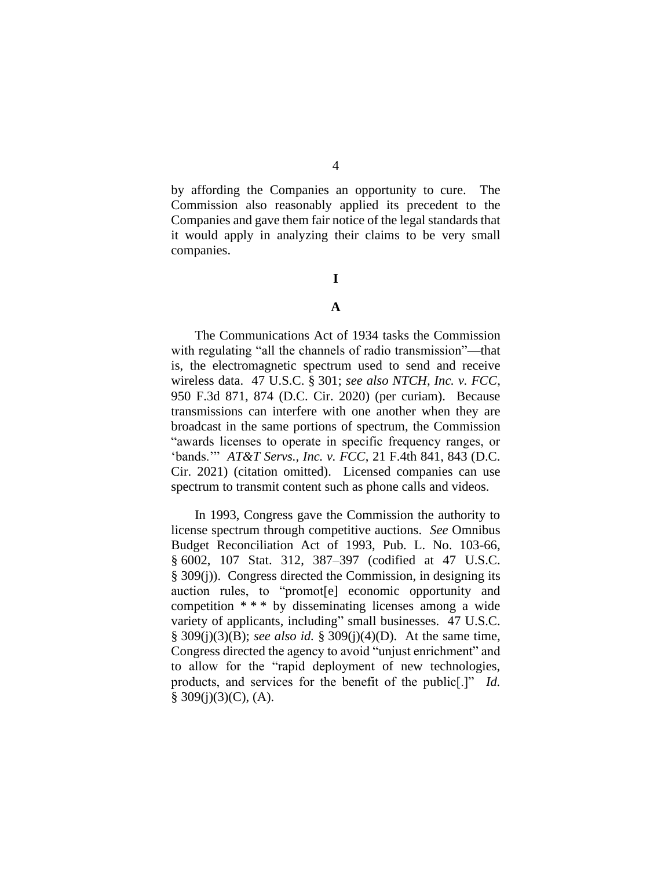by affording the Companies an opportunity to cure. The Commission also reasonably applied its precedent to the Companies and gave them fair notice of the legal standards that it would apply in analyzing their claims to be very small companies.

## **I**

## **A**

The Communications Act of 1934 tasks the Commission with regulating "all the channels of radio transmission"—that is, the electromagnetic spectrum used to send and receive wireless data. 47 U.S.C. § 301; *see also NTCH, Inc. v. FCC*, 950 F.3d 871, 874 (D.C. Cir. 2020) (per curiam). Because transmissions can interfere with one another when they are broadcast in the same portions of spectrum, the Commission "awards licenses to operate in specific frequency ranges, or 'bands.'" *AT&T Servs., Inc. v. FCC*, 21 F.4th 841, 843 (D.C. Cir. 2021) (citation omitted). Licensed companies can use spectrum to transmit content such as phone calls and videos.

In 1993, Congress gave the Commission the authority to license spectrum through competitive auctions. *See* Omnibus Budget Reconciliation Act of 1993, Pub. L. No. 103-66, § 6002, 107 Stat. 312, 387–397 (codified at 47 U.S.C. § 309(j)). Congress directed the Commission, in designing its auction rules, to "promot[e] economic opportunity and competition \* \* \* by disseminating licenses among a wide variety of applicants, including" small businesses. 47 U.S.C. § 309(j)(3)(B); *see also id.* § 309(j)(4)(D). At the same time, Congress directed the agency to avoid "unjust enrichment" and to allow for the "rapid deployment of new technologies, products, and services for the benefit of the public[.]" *Id.*  $§ 309(j)(3)(C)$ , (A).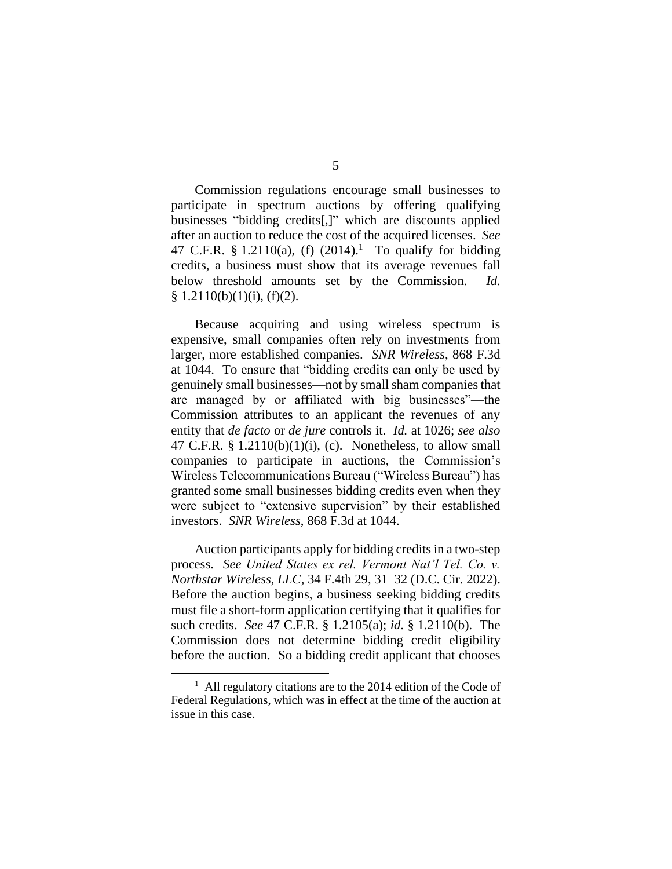Commission regulations encourage small businesses to participate in spectrum auctions by offering qualifying businesses "bidding credits[,]" which are discounts applied after an auction to reduce the cost of the acquired licenses. *See* 47 C.F.R. § 1.2110(a), (f)  $(2014).$ <sup>1</sup> To qualify for bidding credits, a business must show that its average revenues fall below threshold amounts set by the Commission. *Id.*  $§ 1.2110(b)(1)(i), (f)(2).$ 

Because acquiring and using wireless spectrum is expensive, small companies often rely on investments from larger, more established companies. *SNR Wireless*, 868 F.3d at 1044. To ensure that "bidding credits can only be used by genuinely small businesses—not by small sham companies that are managed by or affiliated with big businesses"—the Commission attributes to an applicant the revenues of any entity that *de facto* or *de jure* controls it. *Id.* at 1026; *see also* 47 C.F.R.  $\S 1.2110(b)(1)(i)$ , (c). Nonetheless, to allow small companies to participate in auctions, the Commission's Wireless Telecommunications Bureau ("Wireless Bureau") has granted some small businesses bidding credits even when they were subject to "extensive supervision" by their established investors. *SNR Wireless*, 868 F.3d at 1044.

Auction participants apply for bidding credits in a two-step process. *See United States ex rel. Vermont Nat'l Tel. Co. v. Northstar Wireless, LLC*, 34 F.4th 29, 31–32 (D.C. Cir. 2022). Before the auction begins, a business seeking bidding credits must file a short-form application certifying that it qualifies for such credits. *See* 47 C.F.R. § 1.2105(a); *id*. § 1.2110(b). The Commission does not determine bidding credit eligibility before the auction. So a bidding credit applicant that chooses

 $<sup>1</sup>$  All regulatory citations are to the 2014 edition of the Code of</sup> Federal Regulations, which was in effect at the time of the auction at issue in this case.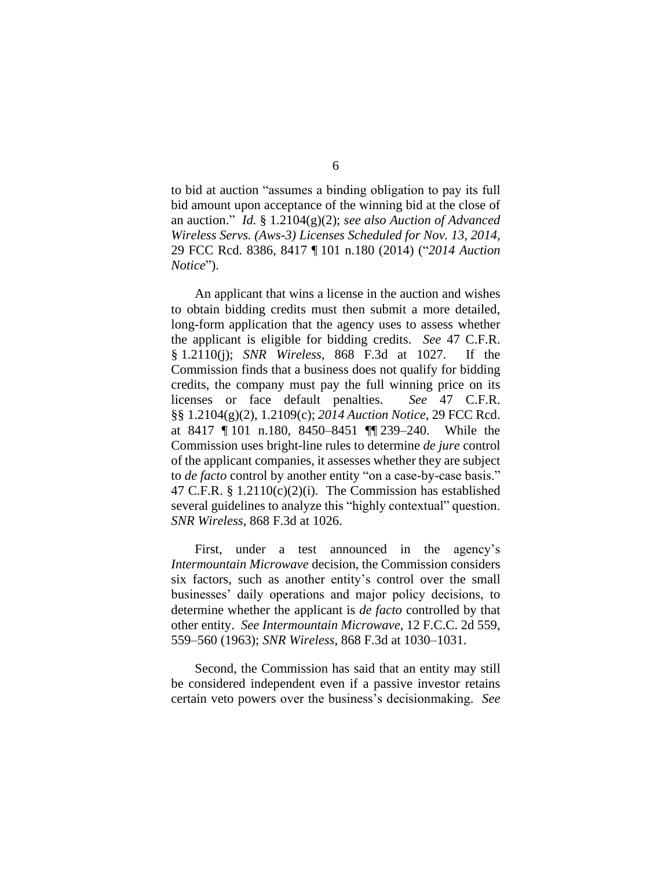to bid at auction "assumes a binding obligation to pay its full bid amount upon acceptance of the winning bid at the close of an auction." *Id.* § 1.2104(g)(2); *see also Auction of Advanced Wireless Servs. (Aws-3) Licenses Scheduled for Nov. 13, 2014*, 29 FCC Rcd. 8386, 8417 ¶ 101 n.180 (2014) ("*2014 Auction Notice*").

An applicant that wins a license in the auction and wishes to obtain bidding credits must then submit a more detailed, long-form application that the agency uses to assess whether the applicant is eligible for bidding credits. *See* 47 C.F.R. § 1.2110(j); *SNR Wireless*, 868 F.3d at 1027. If the Commission finds that a business does not qualify for bidding credits, the company must pay the full winning price on its licenses or face default penalties. *See* 47 C.F.R. §§ 1.2104(g)(2), 1.2109(c); *2014 Auction Notice*, 29 FCC Rcd. at 8417 ¶ 101 n.180, 8450–8451 ¶¶ 239–240. While the Commission uses bright-line rules to determine *de jure* control of the applicant companies, it assesses whether they are subject to *de facto* control by another entity "on a case-by-case basis." 47 C.F.R. § 1.2110(c)(2)(i). The Commission has established several guidelines to analyze this "highly contextual" question. *SNR Wireless*, 868 F.3d at 1026.

First, under a test announced in the agency's *Intermountain Microwave* decision, the Commission considers six factors, such as another entity's control over the small businesses' daily operations and major policy decisions, to determine whether the applicant is *de facto* controlled by that other entity. *See Intermountain Microwave*, 12 F.C.C. 2d 559, 559–560 (1963); *SNR Wireless*, 868 F.3d at 1030–1031.

Second, the Commission has said that an entity may still be considered independent even if a passive investor retains certain veto powers over the business's decisionmaking. *See*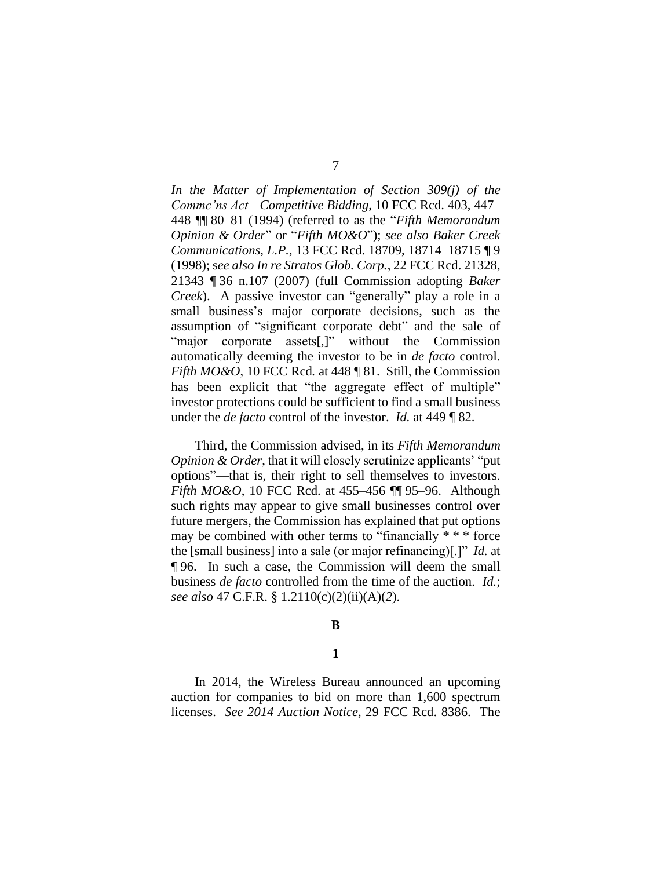*In the Matter of Implementation of Section 309(j) of the Commc'ns Act—Competitive Bidding*, 10 FCC Rcd. 403, 447– 448 ¶¶ 80–81 (1994) (referred to as the "*Fifth Memorandum Opinion & Order*" or "*Fifth MO&O*"); *see also Baker Creek Communications, L.P.*, 13 FCC Rcd. 18709, 18714–18715 ¶ 9 (1998); s*ee also In re Stratos Glob. Corp.*, 22 FCC Rcd. 21328, 21343 ¶ 36 n.107 (2007) (full Commission adopting *Baker Creek*). A passive investor can "generally" play a role in a small business's major corporate decisions, such as the assumption of "significant corporate debt" and the sale of "major corporate assets[,]" without the Commission automatically deeming the investor to be in *de facto* control. *Fifth MO&O*, 10 FCC Rcd*.* at 448 ¶ 81. Still, the Commission has been explicit that "the aggregate effect of multiple" investor protections could be sufficient to find a small business under the *de facto* control of the investor. *Id.* at 449 ¶ 82.

Third, the Commission advised, in its *Fifth Memorandum Opinion & Order*, that it will closely scrutinize applicants' "put options"—that is, their right to sell themselves to investors. *Fifth MO&O*, 10 FCC Rcd. at 455–456 ¶¶ 95–96. Although such rights may appear to give small businesses control over future mergers, the Commission has explained that put options may be combined with other terms to "financially \* \* \* force the [small business] into a sale (or major refinancing)[.]" *Id.* at ¶ 96. In such a case, the Commission will deem the small business *de facto* controlled from the time of the auction. *Id.*; *see also* 47 C.F.R. § 1.2110(c)(2)(ii)(A)(*2*).

#### **B**

#### **1**

In 2014, the Wireless Bureau announced an upcoming auction for companies to bid on more than 1,600 spectrum licenses. *See 2014 Auction Notice*, 29 FCC Rcd. 8386. The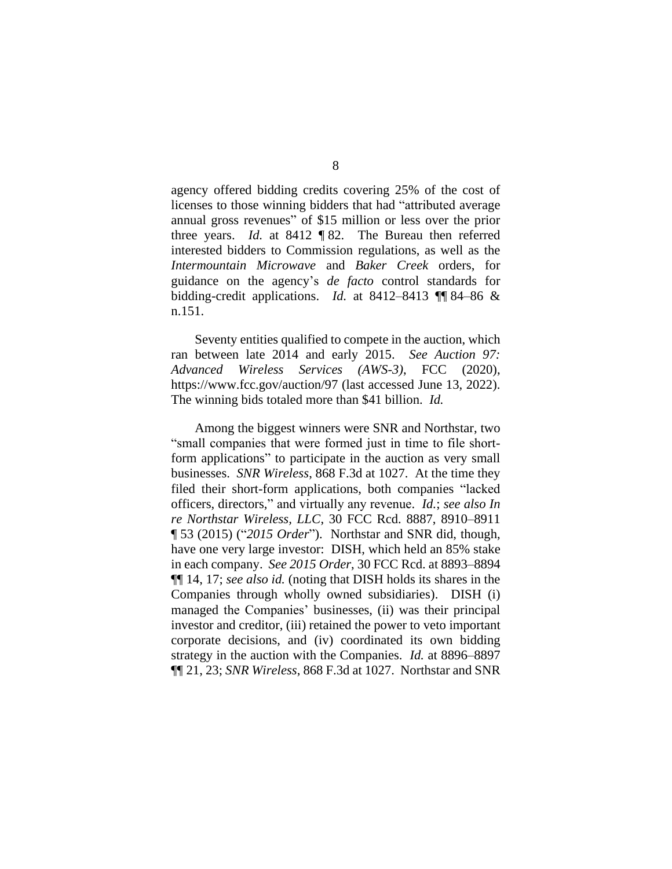agency offered bidding credits covering 25% of the cost of licenses to those winning bidders that had "attributed average annual gross revenues" of \$15 million or less over the prior three years. *Id.* at 8412 ¶ 82. The Bureau then referred interested bidders to Commission regulations, as well as the *Intermountain Microwave* and *Baker Creek* orders, for guidance on the agency's *de facto* control standards for bidding-credit applications. *Id.* at 8412–8413 ¶¶ 84–86 & n.151.

Seventy entities qualified to compete in the auction, which ran between late 2014 and early 2015. *See Auction 97: Advanced Wireless Services (AWS-3)*, FCC (2020), https://www.fcc.gov/auction/97 (last accessed June 13, 2022). The winning bids totaled more than \$41 billion. *Id.*

Among the biggest winners were SNR and Northstar, two "small companies that were formed just in time to file shortform applications" to participate in the auction as very small businesses. *SNR Wireless*, 868 F.3d at 1027. At the time they filed their short-form applications, both companies "lacked officers, directors," and virtually any revenue. *Id.*; *see also In re Northstar Wireless, LLC*, 30 FCC Rcd. 8887, 8910–8911 ¶ 53 (2015) ("*2015 Order*"). Northstar and SNR did, though, have one very large investor: DISH, which held an 85% stake in each company. *See 2015 Order*, 30 FCC Rcd. at 8893–8894 ¶¶ 14, 17; *see also id.* (noting that DISH holds its shares in the Companies through wholly owned subsidiaries). DISH (i) managed the Companies' businesses, (ii) was their principal investor and creditor, (iii) retained the power to veto important corporate decisions, and (iv) coordinated its own bidding strategy in the auction with the Companies. *Id.* at 8896–8897 ¶¶ 21, 23; *SNR Wireless*, 868 F.3d at 1027. Northstar and SNR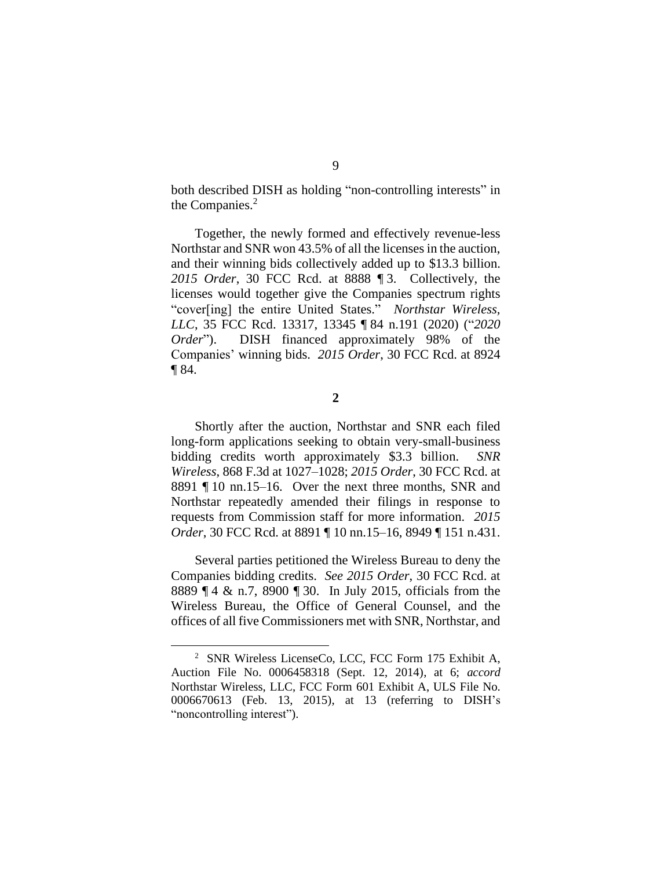both described DISH as holding "non-controlling interests" in the Companies.<sup>2</sup>

Together, the newly formed and effectively revenue-less Northstar and SNR won 43.5% of all the licenses in the auction, and their winning bids collectively added up to \$13.3 billion. *2015 Order*, 30 FCC Rcd. at 8888 ¶ 3. Collectively, the licenses would together give the Companies spectrum rights "cover[ing] the entire United States." *Northstar Wireless, LLC*, 35 FCC Rcd. 13317, 13345 ¶ 84 n.191 (2020) ("*2020 Order*"). DISH financed approximately 98% of the Companies' winning bids. *2015 Order*, 30 FCC Rcd. at 8924 ¶ 84.

**2**

Shortly after the auction, Northstar and SNR each filed long-form applications seeking to obtain very-small-business bidding credits worth approximately \$3.3 billion. *SNR Wireless*, 868 F.3d at 1027–1028; *2015 Order*, 30 FCC Rcd. at 8891 ¶ 10 nn.15–16. Over the next three months, SNR and Northstar repeatedly amended their filings in response to requests from Commission staff for more information. *2015 Order*, 30 FCC Rcd. at 8891 ¶ 10 nn.15–16, 8949 ¶ 151 n.431.

Several parties petitioned the Wireless Bureau to deny the Companies bidding credits. *See 2015 Order*, 30 FCC Rcd. at 8889 ¶ 4 & n.7, 8900 ¶ 30. In July 2015, officials from the Wireless Bureau, the Office of General Counsel, and the offices of all five Commissioners met with SNR, Northstar, and

<sup>2</sup> SNR Wireless LicenseCo, LCC, FCC Form 175 Exhibit A, Auction File No. 0006458318 (Sept. 12, 2014), at 6; *accord*  Northstar Wireless, LLC, FCC Form 601 Exhibit A, ULS File No. 0006670613 (Feb. 13, 2015), at 13 (referring to DISH's "noncontrolling interest").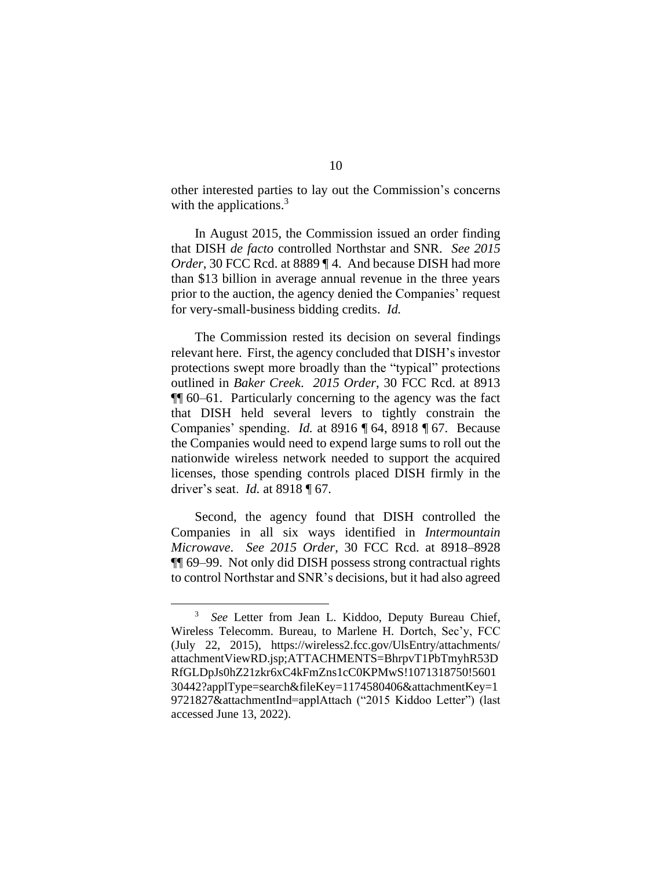other interested parties to lay out the Commission's concerns with the applications.<sup>3</sup>

In August 2015, the Commission issued an order finding that DISH *de facto* controlled Northstar and SNR. *See 2015 Order*, 30 FCC Rcd. at 8889 [4. And because DISH had more than \$13 billion in average annual revenue in the three years prior to the auction, the agency denied the Companies' request for very-small-business bidding credits. *Id.*

The Commission rested its decision on several findings relevant here. First, the agency concluded that DISH's investor protections swept more broadly than the "typical" protections outlined in *Baker Creek*. *2015 Order*, 30 FCC Rcd. at 8913 ¶¶ 60–61. Particularly concerning to the agency was the fact that DISH held several levers to tightly constrain the Companies' spending. *Id.* at 8916 ¶ 64, 8918 ¶ 67. Because the Companies would need to expend large sums to roll out the nationwide wireless network needed to support the acquired licenses, those spending controls placed DISH firmly in the driver's seat. *Id.* at 8918 ¶ 67.

Second, the agency found that DISH controlled the Companies in all six ways identified in *Intermountain Microwave*. *See 2015 Order*, 30 FCC Rcd. at 8918–8928 ¶¶ 69–99. Not only did DISH possess strong contractual rights to control Northstar and SNR's decisions, but it had also agreed

<sup>&</sup>lt;sup>3</sup> See Letter from Jean L. Kiddoo, Deputy Bureau Chief, Wireless Telecomm. Bureau, to Marlene H. Dortch, Sec'y, FCC (July 22, 2015), https://wireless2.fcc.gov/UlsEntry/attachments/ attachmentViewRD.jsp;ATTACHMENTS=BhrpvT1PbTmyhR53D RfGLDpJs0hZ21zkr6xC4kFmZns1cC0KPMwS!1071318750!5601 30442?applType=search&fileKey=1174580406&attachmentKey=1 9721827&attachmentInd=applAttach ("2015 Kiddoo Letter") (last accessed June 13, 2022).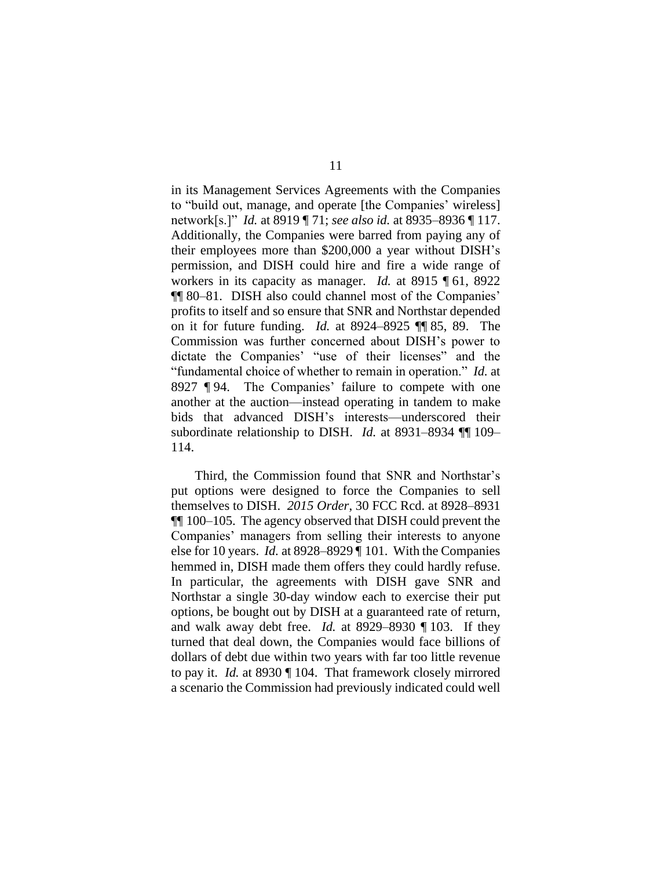in its Management Services Agreements with the Companies to "build out, manage, and operate [the Companies' wireless] network[s.]" *Id.* at 8919 ¶ 71; *see also id.* at 8935–8936 ¶ 117. Additionally, the Companies were barred from paying any of their employees more than \$200,000 a year without DISH's permission, and DISH could hire and fire a wide range of workers in its capacity as manager. *Id.* at 8915 ¶ 61, 8922 ¶¶ 80–81. DISH also could channel most of the Companies' profits to itself and so ensure that SNR and Northstar depended on it for future funding. *Id.* at 8924–8925 ¶¶ 85, 89. The Commission was further concerned about DISH's power to dictate the Companies' "use of their licenses" and the "fundamental choice of whether to remain in operation." *Id.* at 8927 ¶ 94. The Companies' failure to compete with one another at the auction—instead operating in tandem to make bids that advanced DISH's interests—underscored their subordinate relationship to DISH. *Id.* at 8931–8934 ¶¶ 109– 114.

Third, the Commission found that SNR and Northstar's put options were designed to force the Companies to sell themselves to DISH. *2015 Order*, 30 FCC Rcd. at 8928–8931 ¶¶ 100–105. The agency observed that DISH could prevent the Companies' managers from selling their interests to anyone else for 10 years. *Id.* at 8928–8929 ¶ 101. With the Companies hemmed in, DISH made them offers they could hardly refuse. In particular, the agreements with DISH gave SNR and Northstar a single 30-day window each to exercise their put options, be bought out by DISH at a guaranteed rate of return, and walk away debt free. *Id.* at 8929–8930 ¶ 103. If they turned that deal down, the Companies would face billions of dollars of debt due within two years with far too little revenue to pay it. *Id.* at 8930 ¶ 104. That framework closely mirrored a scenario the Commission had previously indicated could well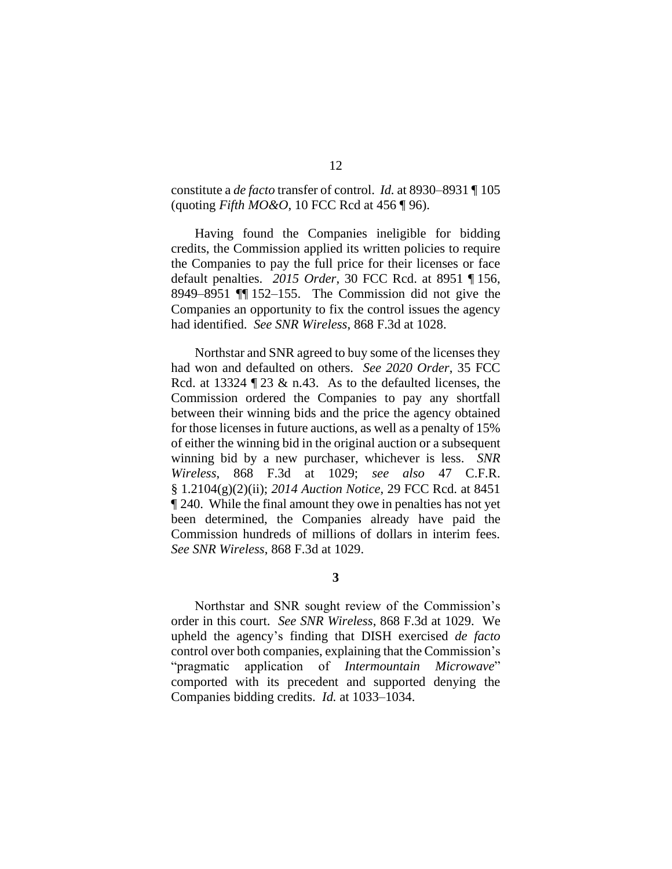## constitute a *de facto* transfer of control. *Id.* at 8930–8931 ¶ 105 (quoting *Fifth MO&O*, 10 FCC Rcd at 456 ¶ 96).

Having found the Companies ineligible for bidding credits, the Commission applied its written policies to require the Companies to pay the full price for their licenses or face default penalties. *2015 Order*, 30 FCC Rcd. at 8951 ¶ 156, 8949–8951 ¶¶ 152–155. The Commission did not give the Companies an opportunity to fix the control issues the agency had identified. *See SNR Wireless*, 868 F.3d at 1028.

Northstar and SNR agreed to buy some of the licenses they had won and defaulted on others. *See 2020 Order*, 35 FCC Rcd. at 13324  $\sqrt{23}$  & n.43. As to the defaulted licenses, the Commission ordered the Companies to pay any shortfall between their winning bids and the price the agency obtained for those licenses in future auctions, as well as a penalty of 15% of either the winning bid in the original auction or a subsequent winning bid by a new purchaser, whichever is less. *SNR Wireless*, 868 F.3d at 1029; *see also* 47 C.F.R. § 1.2104(g)(2)(ii); *2014 Auction Notice*, 29 FCC Rcd. at 8451 ¶ 240. While the final amount they owe in penalties has not yet been determined, the Companies already have paid the Commission hundreds of millions of dollars in interim fees. *See SNR Wireless*, 868 F.3d at 1029.

**3**

Northstar and SNR sought review of the Commission's order in this court. *See SNR Wireless*, 868 F.3d at 1029. We upheld the agency's finding that DISH exercised *de facto*  control over both companies, explaining that the Commission's "pragmatic application of *Intermountain Microwave*" comported with its precedent and supported denying the Companies bidding credits. *Id.* at 1033–1034.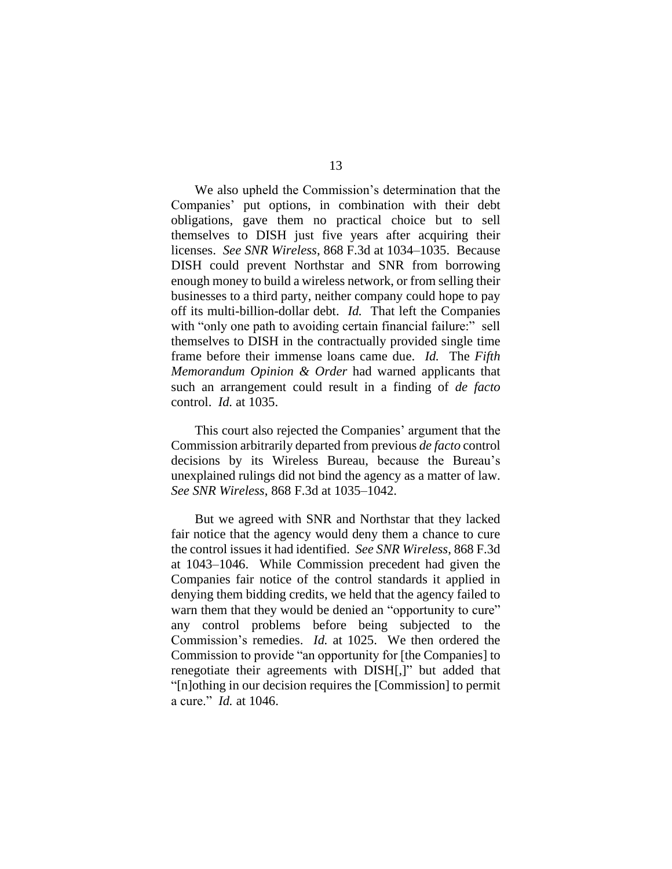We also upheld the Commission's determination that the Companies' put options, in combination with their debt obligations, gave them no practical choice but to sell themselves to DISH just five years after acquiring their licenses. *See SNR Wireless*, 868 F.3d at 1034–1035. Because DISH could prevent Northstar and SNR from borrowing enough money to build a wireless network, or from selling their businesses to a third party, neither company could hope to pay off its multi-billion-dollar debt. *Id.* That left the Companies with "only one path to avoiding certain financial failure:" sell themselves to DISH in the contractually provided single time frame before their immense loans came due. *Id.* The *Fifth Memorandum Opinion & Order* had warned applicants that such an arrangement could result in a finding of *de facto*  control. *Id.* at 1035.

This court also rejected the Companies' argument that the Commission arbitrarily departed from previous *de facto* control decisions by its Wireless Bureau, because the Bureau's unexplained rulings did not bind the agency as a matter of law. *See SNR Wireless*, 868 F.3d at 1035–1042.

But we agreed with SNR and Northstar that they lacked fair notice that the agency would deny them a chance to cure the control issues it had identified. *See SNR Wireless*, 868 F.3d at 1043–1046. While Commission precedent had given the Companies fair notice of the control standards it applied in denying them bidding credits, we held that the agency failed to warn them that they would be denied an "opportunity to cure" any control problems before being subjected to the Commission's remedies. *Id.* at 1025. We then ordered the Commission to provide "an opportunity for [the Companies] to renegotiate their agreements with DISH[,]" but added that "[n]othing in our decision requires the [Commission] to permit a cure." *Id.* at 1046.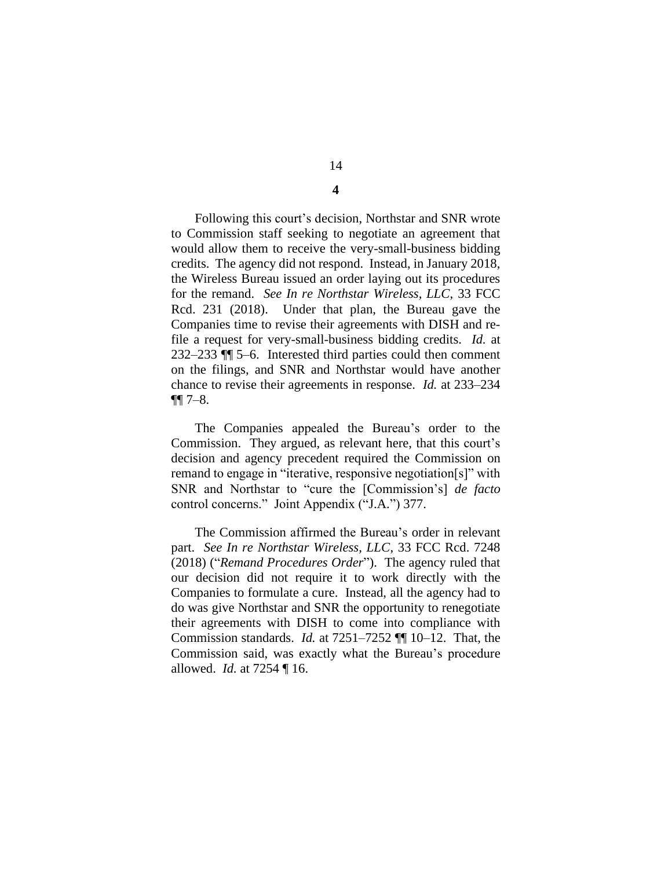Following this court's decision, Northstar and SNR wrote to Commission staff seeking to negotiate an agreement that would allow them to receive the very-small-business bidding credits. The agency did not respond. Instead, in January 2018, the Wireless Bureau issued an order laying out its procedures for the remand. *See In re Northstar Wireless, LLC*, 33 FCC Rcd. 231 (2018). Under that plan, the Bureau gave the Companies time to revise their agreements with DISH and refile a request for very-small-business bidding credits. *Id.* at 232–233 ¶¶ 5–6. Interested third parties could then comment on the filings, and SNR and Northstar would have another chance to revise their agreements in response. *Id.* at 233–234  $\P\P$  7–8.

The Companies appealed the Bureau's order to the Commission. They argued, as relevant here, that this court's decision and agency precedent required the Commission on remand to engage in "iterative, responsive negotiation[s]" with SNR and Northstar to "cure the [Commission's] *de facto*  control concerns." Joint Appendix ("J.A.") 377.

The Commission affirmed the Bureau's order in relevant part. *See In re Northstar Wireless, LLC*, 33 FCC Rcd. 7248 (2018) ("*Remand Procedures Order*"). The agency ruled that our decision did not require it to work directly with the Companies to formulate a cure. Instead, all the agency had to do was give Northstar and SNR the opportunity to renegotiate their agreements with DISH to come into compliance with Commission standards. *Id.* at 7251–7252 ¶¶ 10–12. That, the Commission said, was exactly what the Bureau's procedure allowed. *Id.* at 7254 ¶ 16.

14

**4**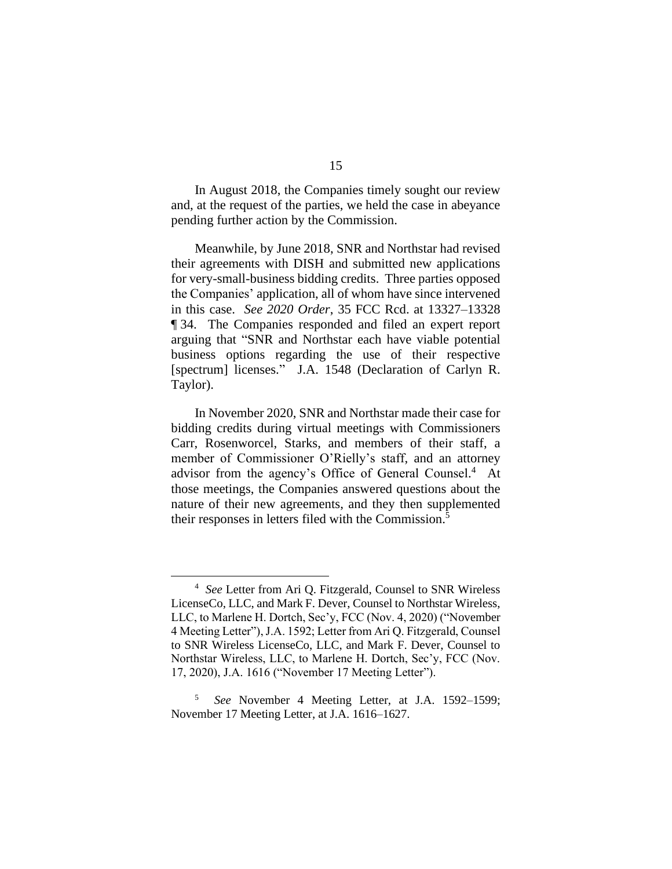In August 2018, the Companies timely sought our review and, at the request of the parties, we held the case in abeyance pending further action by the Commission.

Meanwhile, by June 2018, SNR and Northstar had revised their agreements with DISH and submitted new applications for very-small-business bidding credits. Three parties opposed the Companies' application, all of whom have since intervened in this case. *See 2020 Order*, 35 FCC Rcd. at 13327–13328 ¶ 34. The Companies responded and filed an expert report arguing that "SNR and Northstar each have viable potential business options regarding the use of their respective [spectrum] licenses." J.A. 1548 (Declaration of Carlyn R. Taylor).

In November 2020, SNR and Northstar made their case for bidding credits during virtual meetings with Commissioners Carr, Rosenworcel, Starks, and members of their staff, a member of Commissioner O'Rielly's staff, and an attorney advisor from the agency's Office of General Counsel.<sup>4</sup> At those meetings, the Companies answered questions about the nature of their new agreements, and they then supplemented their responses in letters filed with the Commission. 5

<sup>4</sup> *See* Letter from Ari Q. Fitzgerald, Counsel to SNR Wireless LicenseCo, LLC, and Mark F. Dever, Counsel to Northstar Wireless, LLC, to Marlene H. Dortch, Sec'y, FCC (Nov. 4, 2020) ("November 4 Meeting Letter"), J.A. 1592; Letter from Ari Q. Fitzgerald, Counsel to SNR Wireless LicenseCo, LLC, and Mark F. Dever, Counsel to Northstar Wireless, LLC, to Marlene H. Dortch, Sec'y, FCC (Nov. 17, 2020), J.A. 1616 ("November 17 Meeting Letter").

<sup>5</sup> *See* November 4 Meeting Letter, at J.A. 1592–1599; November 17 Meeting Letter, at J.A. 1616–1627.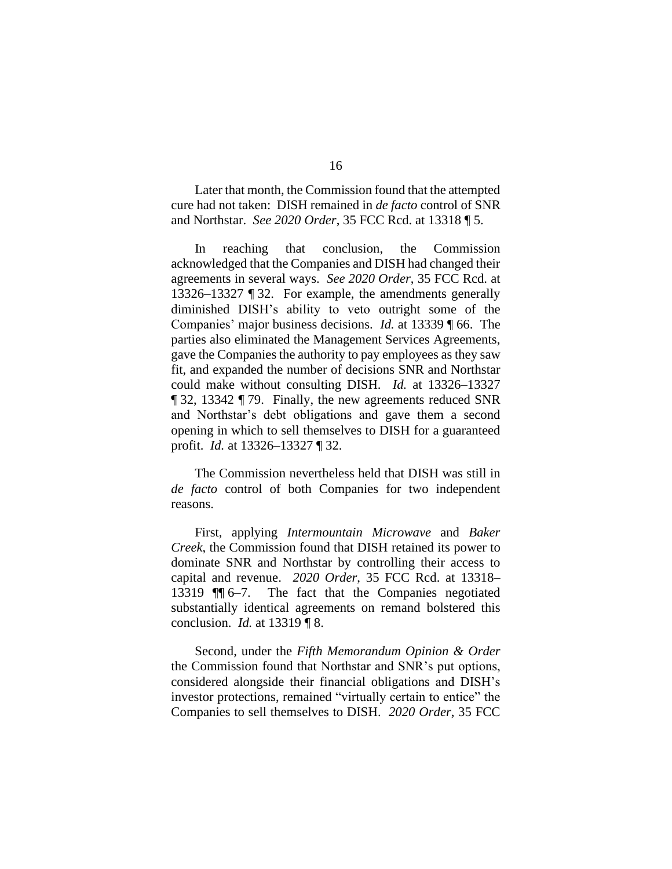Later that month, the Commission found that the attempted cure had not taken: DISH remained in *de facto* control of SNR and Northstar. *See 2020 Order*, 35 FCC Rcd. at 13318 ¶ 5.

In reaching that conclusion, the Commission acknowledged that the Companies and DISH had changed their agreements in several ways. *See 2020 Order*, 35 FCC Rcd. at 13326–13327 ¶ 32. For example, the amendments generally diminished DISH's ability to veto outright some of the Companies' major business decisions. *Id.* at 13339 ¶ 66. The parties also eliminated the Management Services Agreements, gave the Companies the authority to pay employees as they saw fit, and expanded the number of decisions SNR and Northstar could make without consulting DISH. *Id.* at 13326–13327 ¶ 32, 13342 ¶ 79. Finally, the new agreements reduced SNR and Northstar's debt obligations and gave them a second opening in which to sell themselves to DISH for a guaranteed profit. *Id.* at 13326–13327 ¶ 32.

The Commission nevertheless held that DISH was still in *de facto* control of both Companies for two independent reasons.

First, applying *Intermountain Microwave* and *Baker Creek*, the Commission found that DISH retained its power to dominate SNR and Northstar by controlling their access to capital and revenue. *2020 Order*, 35 FCC Rcd. at 13318– 13319 ¶¶ 6–7. The fact that the Companies negotiated substantially identical agreements on remand bolstered this conclusion. *Id.* at 13319 ¶ 8.

Second, under the *Fifth Memorandum Opinion & Order* the Commission found that Northstar and SNR's put options, considered alongside their financial obligations and DISH's investor protections, remained "virtually certain to entice" the Companies to sell themselves to DISH. *2020 Order*, 35 FCC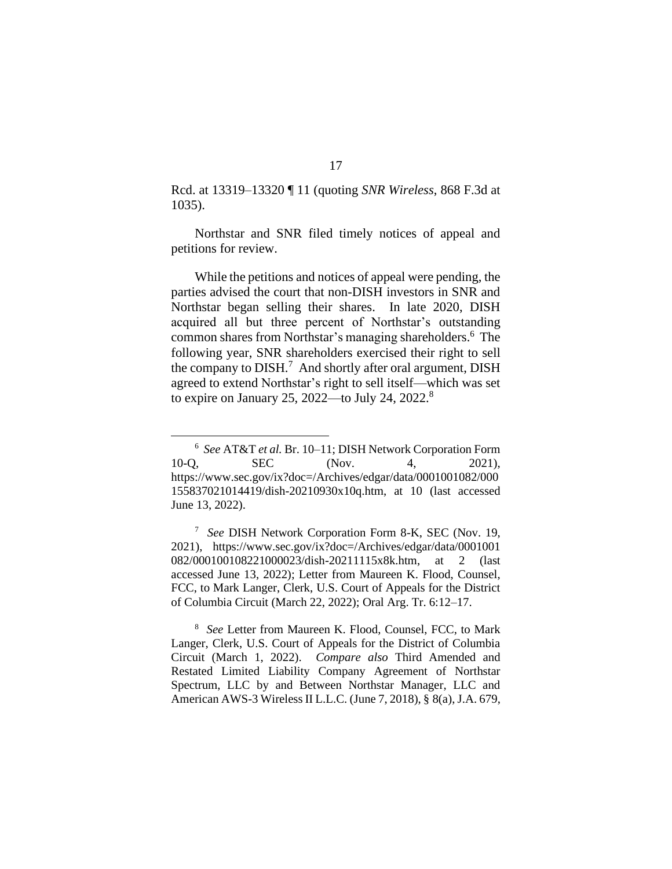Rcd. at 13319–13320 ¶ 11 (quoting *SNR Wireless*, 868 F.3d at 1035).

Northstar and SNR filed timely notices of appeal and petitions for review.

While the petitions and notices of appeal were pending, the parties advised the court that non-DISH investors in SNR and Northstar began selling their shares. In late 2020, DISH acquired all but three percent of Northstar's outstanding common shares from Northstar's managing shareholders. <sup>6</sup> The following year, SNR shareholders exercised their right to sell the company to  $DISH<sup>7</sup>$  And shortly after oral argument,  $DISH$ agreed to extend Northstar's right to sell itself—which was set to expire on January 25, 2022—to July 24, 2022.<sup>8</sup>

<sup>7</sup> *See* DISH Network Corporation Form 8-K, SEC (Nov. 19, 2021), https://www.sec.gov/ix?doc=/Archives/edgar/data/0001001 082/000100108221000023/dish-20211115x8k.htm, at 2 (last accessed June 13, 2022); Letter from Maureen K. Flood, Counsel, FCC, to Mark Langer, Clerk, U.S. Court of Appeals for the District of Columbia Circuit (March 22, 2022); Oral Arg. Tr. 6:12–17.

<sup>8</sup> *See* Letter from Maureen K. Flood, Counsel, FCC, to Mark Langer, Clerk, U.S. Court of Appeals for the District of Columbia Circuit (March 1, 2022). *Compare also* Third Amended and Restated Limited Liability Company Agreement of Northstar Spectrum, LLC by and Between Northstar Manager, LLC and American AWS-3 Wireless II L.L.C. (June 7, 2018), § 8(a), J.A. 679,

<sup>6</sup> *See* AT&T *et al.* Br. 10–11; DISH Network Corporation Form 10-Q, SEC (Nov. 4, 2021), https://www.sec.gov/ix?doc=/Archives/edgar/data/0001001082/000 155837021014419/dish-20210930x10q.htm, at 10 (last accessed June 13, 2022).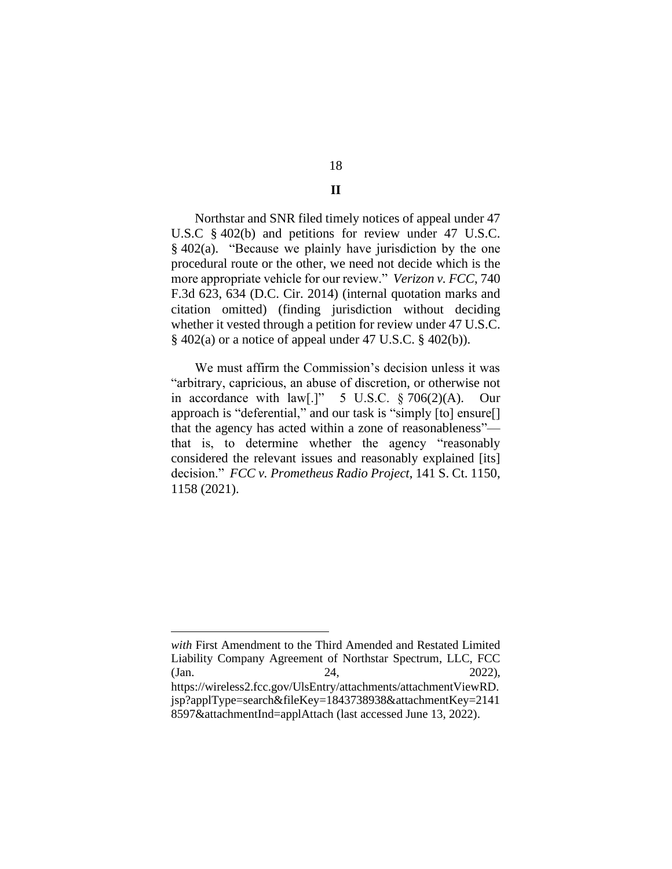## 18 **II**

Northstar and SNR filed timely notices of appeal under 47 U.S.C § 402(b) and petitions for review under 47 U.S.C. § 402(a). "Because we plainly have jurisdiction by the one procedural route or the other, we need not decide which is the more appropriate vehicle for our review." *Verizon v. FCC*, 740 F.3d 623, 634 (D.C. Cir. 2014) (internal quotation marks and citation omitted) (finding jurisdiction without deciding whether it vested through a petition for review under 47 U.S.C.  $\S$  402(a) or a notice of appeal under 47 U.S.C.  $\S$  402(b)).

We must affirm the Commission's decision unless it was "arbitrary, capricious, an abuse of discretion, or otherwise not in accordance with law[.]" 5 U.S.C. § 706(2)(A). Our approach is "deferential," and our task is "simply [to] ensure[] that the agency has acted within a zone of reasonableness" that is, to determine whether the agency "reasonably considered the relevant issues and reasonably explained [its] decision." *FCC v. Prometheus Radio Project*, 141 S. Ct. 1150, 1158 (2021).

*with* First Amendment to the Third Amended and Restated Limited Liability Company Agreement of Northstar Spectrum, LLC, FCC (Jan. 24, 2022), https://wireless2.fcc.gov/UlsEntry/attachments/attachmentViewRD. jsp?applType=search&fileKey=1843738938&attachmentKey=2141 8597&attachmentInd=applAttach (last accessed June 13, 2022).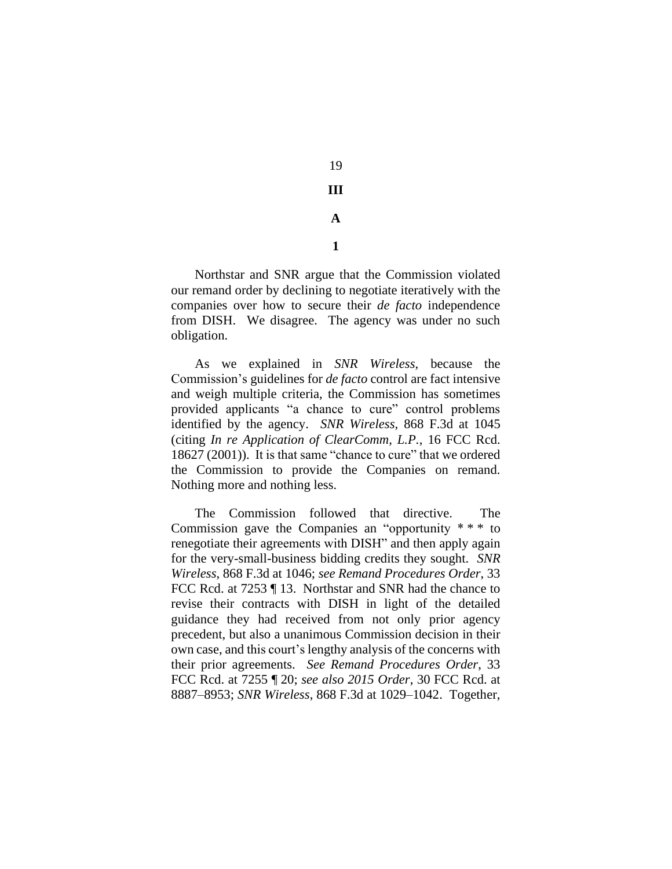19 **III A**

**1**

Northstar and SNR argue that the Commission violated our remand order by declining to negotiate iteratively with the companies over how to secure their *de facto* independence from DISH. We disagree. The agency was under no such obligation.

As we explained in *SNR Wireless*, because the Commission's guidelines for *de facto* control are fact intensive and weigh multiple criteria, the Commission has sometimes provided applicants "a chance to cure" control problems identified by the agency. *SNR Wireless*, 868 F.3d at 1045 (citing *In re Application of ClearComm, L.P.*, 16 FCC Rcd. 18627 (2001)). It is that same "chance to cure" that we ordered the Commission to provide the Companies on remand. Nothing more and nothing less.

The Commission followed that directive. The Commission gave the Companies an "opportunity \* \* \* to renegotiate their agreements with DISH" and then apply again for the very-small-business bidding credits they sought. *SNR Wireless*, 868 F.3d at 1046; *see Remand Procedures Order*, 33 FCC Rcd. at 7253 ¶ 13. Northstar and SNR had the chance to revise their contracts with DISH in light of the detailed guidance they had received from not only prior agency precedent, but also a unanimous Commission decision in their own case, and this court's lengthy analysis of the concerns with their prior agreements. *See Remand Procedures Order*, 33 FCC Rcd. at 7255 ¶ 20; *see also 2015 Order*, 30 FCC Rcd. at 8887–8953; *SNR Wireless*, 868 F.3d at 1029–1042. Together,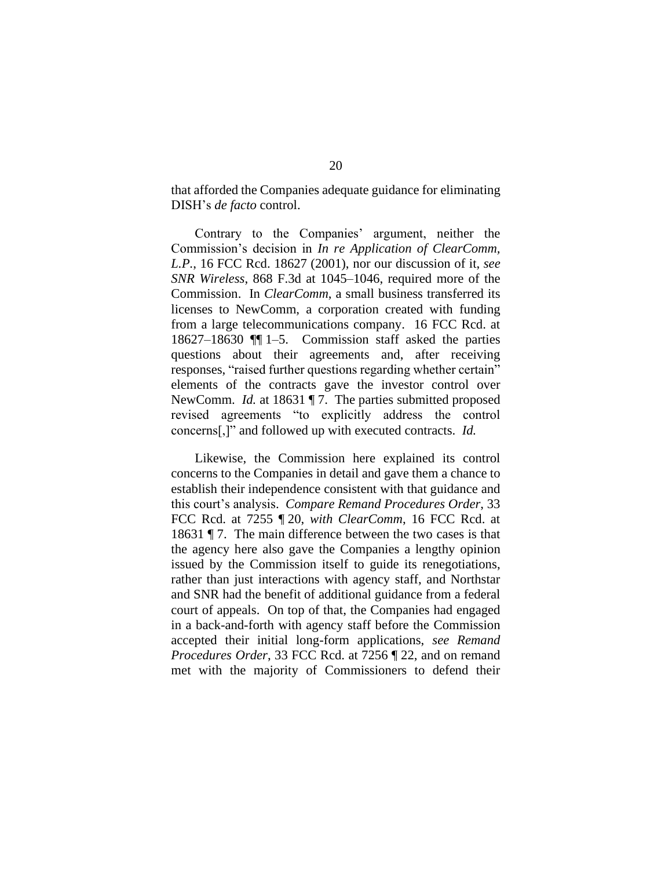that afforded the Companies adequate guidance for eliminating DISH's *de facto* control.

Contrary to the Companies' argument, neither the Commission's decision in *In re Application of ClearComm, L.P.*, 16 FCC Rcd. 18627 (2001), nor our discussion of it, *see SNR Wireless*, 868 F.3d at 1045–1046, required more of the Commission. In *ClearComm*, a small business transferred its licenses to NewComm, a corporation created with funding from a large telecommunications company. 16 FCC Rcd. at 18627–18630 ¶¶ 1–5. Commission staff asked the parties questions about their agreements and, after receiving responses, "raised further questions regarding whether certain" elements of the contracts gave the investor control over NewComm. *Id.* at 18631 ¶ 7. The parties submitted proposed revised agreements "to explicitly address the control concerns[,]" and followed up with executed contracts. *Id.*

Likewise, the Commission here explained its control concerns to the Companies in detail and gave them a chance to establish their independence consistent with that guidance and this court's analysis. *Compare Remand Procedures Order*, 33 FCC Rcd. at 7255 ¶ 20, *with ClearComm*, 16 FCC Rcd. at 18631 ¶ 7.The main difference between the two cases is that the agency here also gave the Companies a lengthy opinion issued by the Commission itself to guide its renegotiations, rather than just interactions with agency staff, and Northstar and SNR had the benefit of additional guidance from a federal court of appeals. On top of that, the Companies had engaged in a back-and-forth with agency staff before the Commission accepted their initial long-form applications, *see Remand Procedures Order*, 33 FCC Rcd. at 7256 ¶ 22, and on remand met with the majority of Commissioners to defend their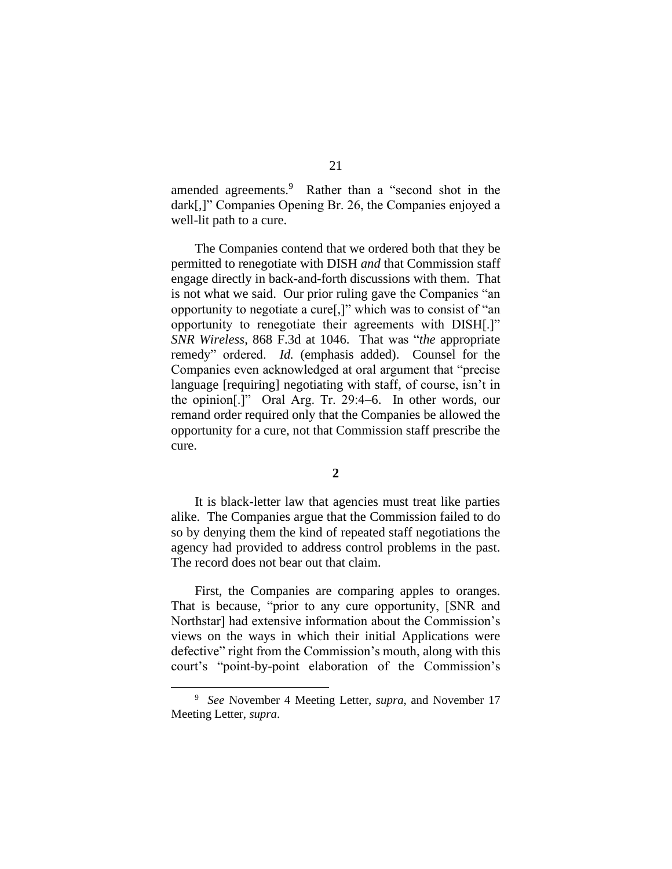amended agreements. <sup>9</sup> Rather than a "second shot in the dark[,]" Companies Opening Br. 26, the Companies enjoyed a well-lit path to a cure.

The Companies contend that we ordered both that they be permitted to renegotiate with DISH *and* that Commission staff engage directly in back-and-forth discussions with them. That is not what we said. Our prior ruling gave the Companies "an opportunity to negotiate a cure[,]" which was to consist of "an opportunity to renegotiate their agreements with DISH[.]" *SNR Wireless*, 868 F.3d at 1046. That was "*the* appropriate remedy" ordered. *Id.* (emphasis added). Counsel for the Companies even acknowledged at oral argument that "precise language [requiring] negotiating with staff, of course, isn't in the opinion[.]" Oral Arg. Tr. 29:4–6. In other words, our remand order required only that the Companies be allowed the opportunity for a cure, not that Commission staff prescribe the cure.

#### **2**

It is black-letter law that agencies must treat like parties alike. The Companies argue that the Commission failed to do so by denying them the kind of repeated staff negotiations the agency had provided to address control problems in the past. The record does not bear out that claim.

First, the Companies are comparing apples to oranges. That is because, "prior to any cure opportunity, [SNR and Northstar] had extensive information about the Commission's views on the ways in which their initial Applications were defective" right from the Commission's mouth, along with this court's "point-by-point elaboration of the Commission's

<sup>9</sup> *See* November 4 Meeting Letter, *supra*, and November 17 Meeting Letter, *supra*.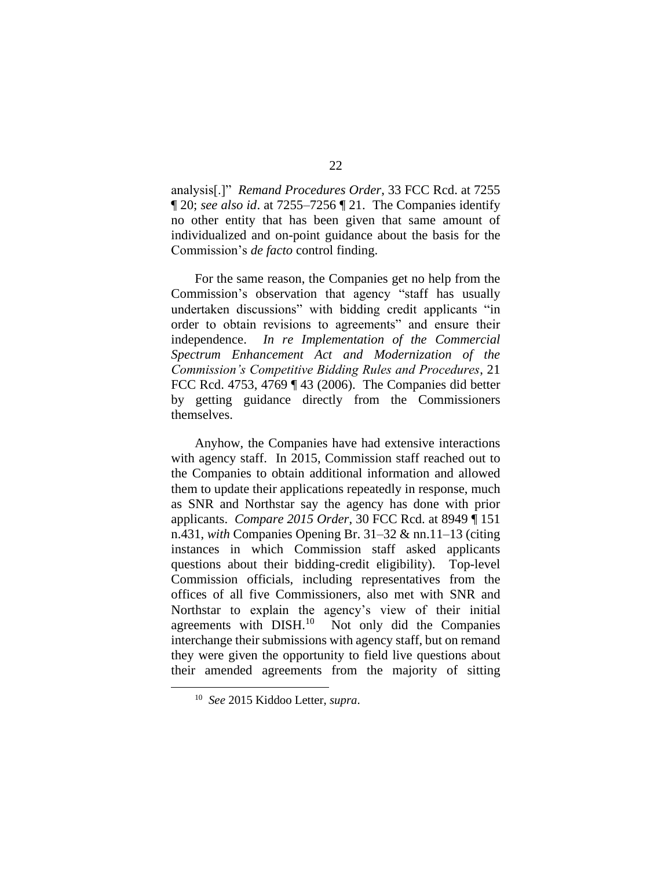analysis[.]" *Remand Procedures Order*, 33 FCC Rcd. at 7255 ¶ 20; *see also id*. at 7255–7256 ¶ 21. The Companies identify no other entity that has been given that same amount of individualized and on-point guidance about the basis for the Commission's *de facto* control finding.

For the same reason, the Companies get no help from the Commission's observation that agency "staff has usually undertaken discussions" with bidding credit applicants "in order to obtain revisions to agreements" and ensure their independence. *In re Implementation of the Commercial Spectrum Enhancement Act and Modernization of the Commission's Competitive Bidding Rules and Procedures*, 21 FCC Rcd. 4753, 4769 ¶ 43 (2006). The Companies did better by getting guidance directly from the Commissioners themselves.

Anyhow, the Companies have had extensive interactions with agency staff. In 2015, Commission staff reached out to the Companies to obtain additional information and allowed them to update their applications repeatedly in response, much as SNR and Northstar say the agency has done with prior applicants. *Compare 2015 Order*, 30 FCC Rcd. at 8949 ¶ 151 n.431, *with* Companies Opening Br. 31–32 & nn.11–13 (citing instances in which Commission staff asked applicants questions about their bidding-credit eligibility). Top-level Commission officials, including representatives from the offices of all five Commissioners, also met with SNR and Northstar to explain the agency's view of their initial agreements with DISH.<sup>10</sup> Not only did the Companies interchange their submissions with agency staff, but on remand they were given the opportunity to field live questions about their amended agreements from the majority of sitting

<sup>10</sup> *See* 2015 Kiddoo Letter, *supra*.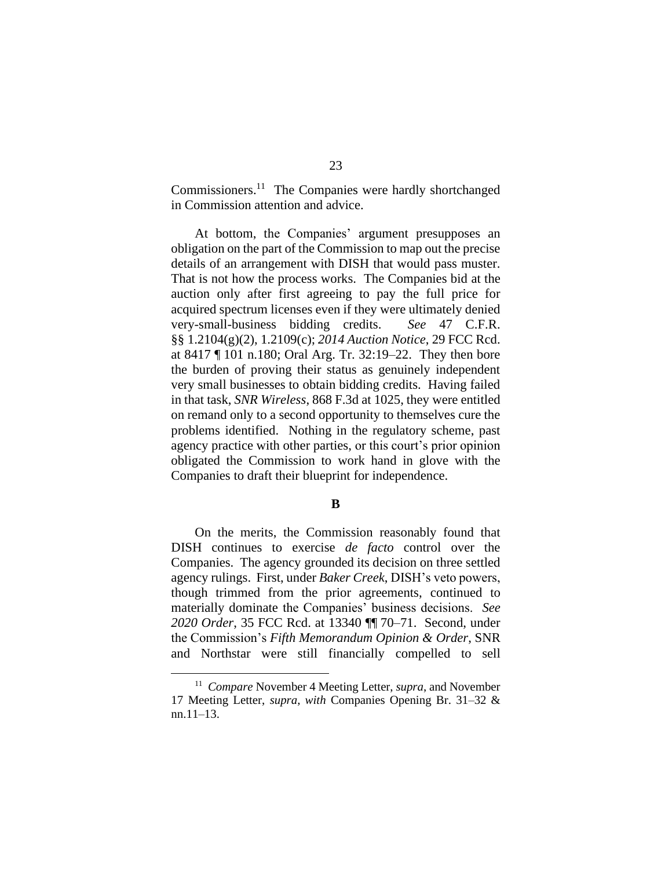Commissioners. <sup>11</sup> The Companies were hardly shortchanged in Commission attention and advice.

At bottom, the Companies' argument presupposes an obligation on the part of the Commission to map out the precise details of an arrangement with DISH that would pass muster. That is not how the process works. The Companies bid at the auction only after first agreeing to pay the full price for acquired spectrum licenses even if they were ultimately denied very-small-business bidding credits. *See* 47 C.F.R. §§ 1.2104(g)(2), 1.2109(c); *2014 Auction Notice*, 29 FCC Rcd. at 8417 ¶ 101 n.180; Oral Arg. Tr. 32:19–22. They then bore the burden of proving their status as genuinely independent very small businesses to obtain bidding credits. Having failed in that task, *SNR Wireless*, 868 F.3d at 1025, they were entitled on remand only to a second opportunity to themselves cure the problems identified. Nothing in the regulatory scheme, past agency practice with other parties, or this court's prior opinion obligated the Commission to work hand in glove with the Companies to draft their blueprint for independence.

**B**

On the merits, the Commission reasonably found that DISH continues to exercise *de facto* control over the Companies. The agency grounded its decision on three settled agency rulings. First, under *Baker Creek*, DISH's veto powers, though trimmed from the prior agreements, continued to materially dominate the Companies' business decisions. *See 2020 Order*, 35 FCC Rcd. at 13340 ¶¶ 70–71. Second, under the Commission's *Fifth Memorandum Opinion & Order*, SNR and Northstar were still financially compelled to sell

<sup>&</sup>lt;sup>11</sup> Compare November 4 Meeting Letter, *supra*, and November 17 Meeting Letter, *supra*, *with* Companies Opening Br. 31–32 & nn.11–13.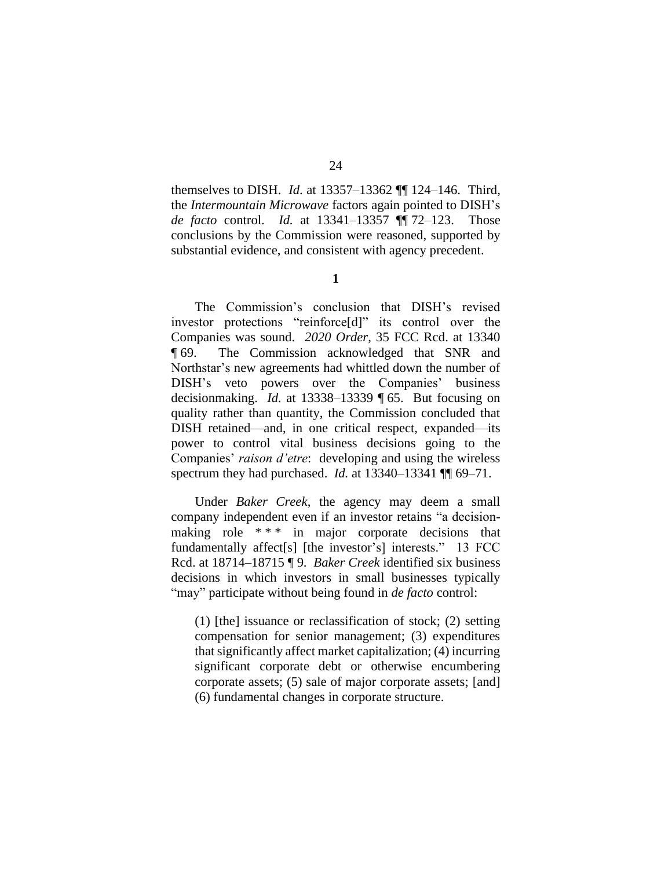themselves to DISH. *Id*. at 13357–13362 ¶¶ 124–146. Third, the *Intermountain Microwave* factors again pointed to DISH's *de facto* control. *Id.* at 13341–13357 ¶¶ 72–123. Those conclusions by the Commission were reasoned, supported by substantial evidence, and consistent with agency precedent.

**1**

The Commission's conclusion that DISH's revised investor protections "reinforce[d]" its control over the Companies was sound. *2020 Order*, 35 FCC Rcd. at 13340 ¶ 69. The Commission acknowledged that SNR and Northstar's new agreements had whittled down the number of DISH's veto powers over the Companies' business decisionmaking. *Id.* at 13338–13339 ¶ 65. But focusing on quality rather than quantity, the Commission concluded that DISH retained—and, in one critical respect, expanded—its power to control vital business decisions going to the Companies' *raison d'etre*: developing and using the wireless spectrum they had purchased. *Id.* at 13340–13341 ¶¶ 69–71.

Under *Baker Creek*, the agency may deem a small company independent even if an investor retains "a decisionmaking role \*\*\* in major corporate decisions that fundamentally affect<sup>[s]</sup> [the investor's] interests." 13 FCC Rcd. at 18714–18715 ¶ 9. *Baker Creek* identified six business decisions in which investors in small businesses typically "may" participate without being found in *de facto* control:

(1) [the] issuance or reclassification of stock; (2) setting compensation for senior management; (3) expenditures that significantly affect market capitalization; (4) incurring significant corporate debt or otherwise encumbering corporate assets; (5) sale of major corporate assets; [and] (6) fundamental changes in corporate structure.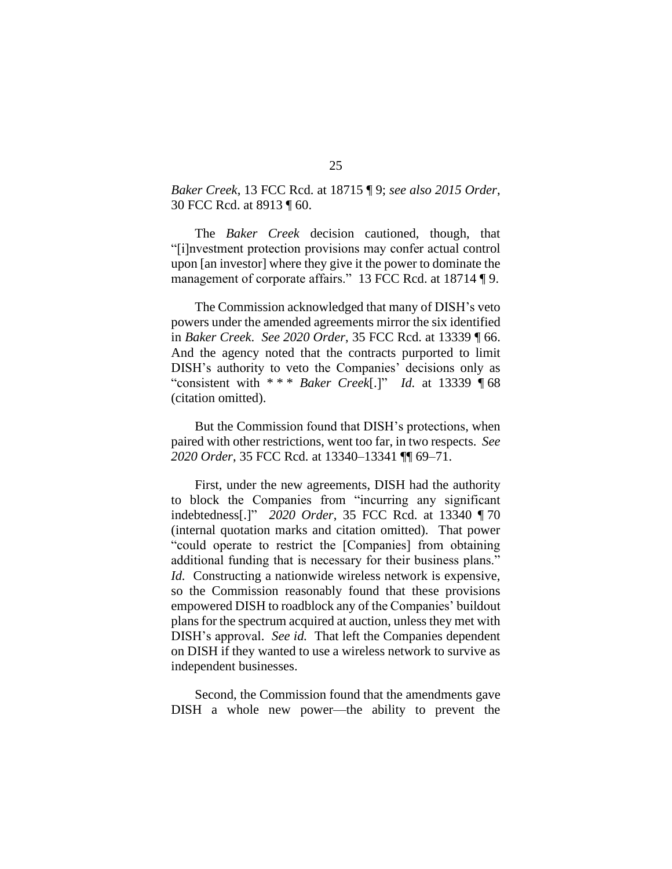*Baker Creek*, 13 FCC Rcd. at 18715 ¶ 9; *see also 2015 Order*, 30 FCC Rcd. at 8913 ¶ 60.

The *Baker Creek* decision cautioned, though, that "[i]nvestment protection provisions may confer actual control upon [an investor] where they give it the power to dominate the management of corporate affairs." 13 FCC Rcd. at 18714 ¶ 9.

The Commission acknowledged that many of DISH's veto powers under the amended agreements mirror the six identified in *Baker Creek*. *See 2020 Order*, 35 FCC Rcd. at 13339 ¶ 66. And the agency noted that the contracts purported to limit DISH's authority to veto the Companies' decisions only as "consistent with \* \* \* *Baker Creek*[.]" *Id.* at 13339 ¶ 68 (citation omitted).

But the Commission found that DISH's protections, when paired with other restrictions, went too far, in two respects. *See 2020 Order*, 35 FCC Rcd*.* at 13340–13341 ¶¶ 69–71.

First, under the new agreements, DISH had the authority to block the Companies from "incurring any significant indebtedness[.]" *2020 Order*, 35 FCC Rcd. at 13340 ¶ 70 (internal quotation marks and citation omitted). That power "could operate to restrict the [Companies] from obtaining additional funding that is necessary for their business plans." *Id.* Constructing a nationwide wireless network is expensive, so the Commission reasonably found that these provisions empowered DISH to roadblock any of the Companies' buildout plans for the spectrum acquired at auction, unless they met with DISH's approval. *See id.* That left the Companies dependent on DISH if they wanted to use a wireless network to survive as independent businesses.

Second, the Commission found that the amendments gave DISH a whole new power—the ability to prevent the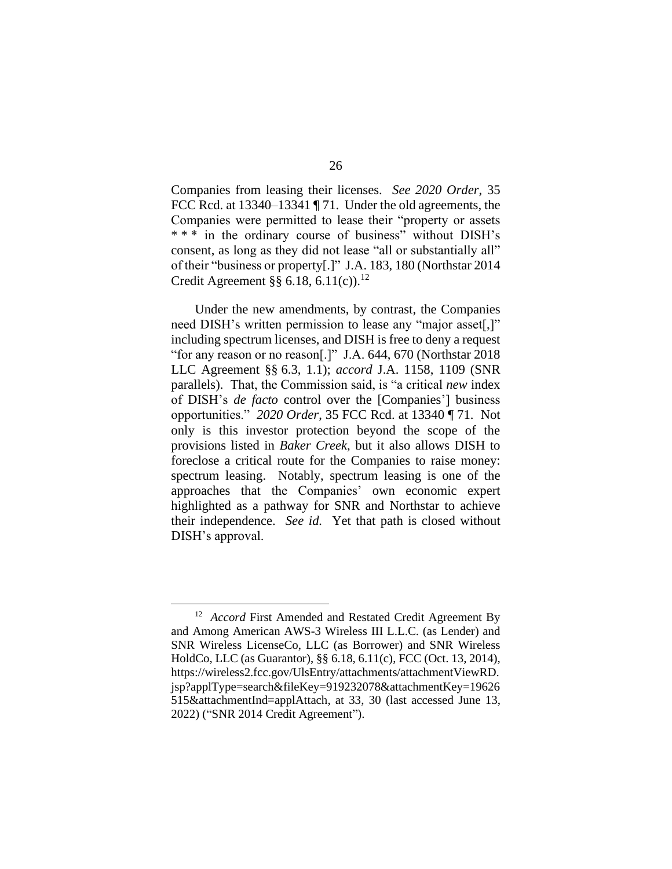Companies from leasing their licenses. *See 2020 Order*, 35 FCC Rcd. at 13340–13341 ¶ 71. Under the old agreements, the Companies were permitted to lease their "property or assets \*\*\* in the ordinary course of business" without DISH's consent, as long as they did not lease "all or substantially all" of their "business or property[.]" J.A. 183, 180 (Northstar 2014 Credit Agreement  $\S$ § 6.18, 6.11(c)).<sup>12</sup>

Under the new amendments, by contrast, the Companies need DISH's written permission to lease any "major asset[,]" including spectrum licenses, and DISH is free to deny a request "for any reason or no reason[.]" J.A. 644, 670 (Northstar 2018 LLC Agreement §§ 6.3, 1.1); *accord* J.A. 1158, 1109 (SNR parallels). That, the Commission said, is "a critical *new* index of DISH's *de facto* control over the [Companies'] business opportunities." *2020 Order*, 35 FCC Rcd. at 13340 ¶ 71. Not only is this investor protection beyond the scope of the provisions listed in *Baker Creek*, but it also allows DISH to foreclose a critical route for the Companies to raise money: spectrum leasing. Notably, spectrum leasing is one of the approaches that the Companies' own economic expert highlighted as a pathway for SNR and Northstar to achieve their independence. *See id.* Yet that path is closed without DISH's approval.

<sup>&</sup>lt;sup>12</sup> *Accord* First Amended and Restated Credit Agreement By and Among American AWS-3 Wireless III L.L.C. (as Lender) and SNR Wireless LicenseCo, LLC (as Borrower) and SNR Wireless HoldCo, LLC (as Guarantor), §§ 6.18, 6.11(c), FCC (Oct. 13, 2014), https://wireless2.fcc.gov/UlsEntry/attachments/attachmentViewRD. jsp?applType=search&fileKey=919232078&attachmentKey=19626 515&attachmentInd=applAttach, at 33, 30 (last accessed June 13, 2022) ("SNR 2014 Credit Agreement").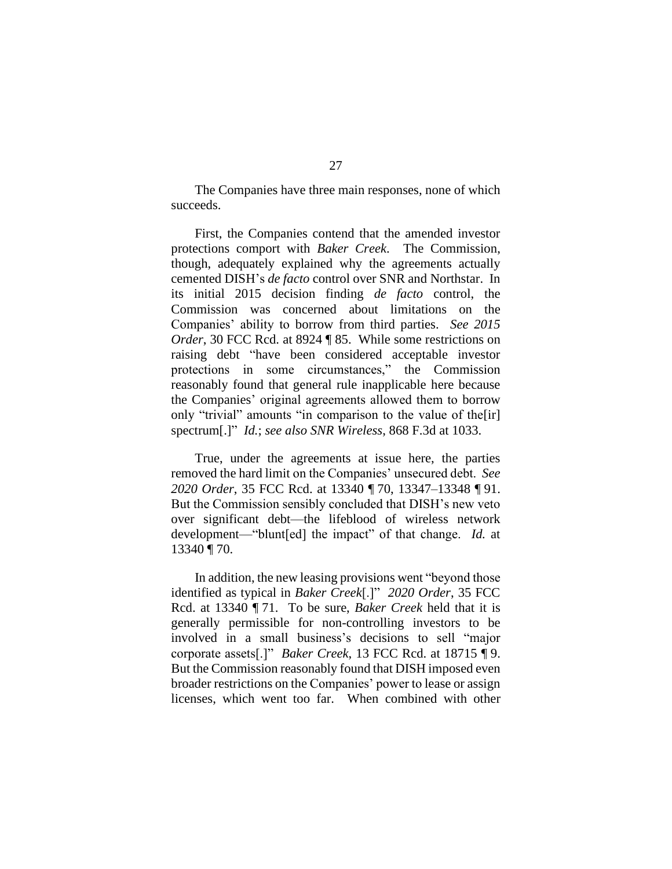The Companies have three main responses, none of which succeeds.

First, the Companies contend that the amended investor protections comport with *Baker Creek*. The Commission, though, adequately explained why the agreements actually cemented DISH's *de facto* control over SNR and Northstar. In its initial 2015 decision finding *de facto* control, the Commission was concerned about limitations on the Companies' ability to borrow from third parties. *See 2015 Order*, 30 FCC Rcd. at 8924 ¶ 85. While some restrictions on raising debt "have been considered acceptable investor protections in some circumstances," the Commission reasonably found that general rule inapplicable here because the Companies' original agreements allowed them to borrow only "trivial" amounts "in comparison to the value of the [ir] spectrum[.]" *Id.*; *see also SNR Wireless*, 868 F.3d at 1033.

True, under the agreements at issue here, the parties removed the hard limit on the Companies' unsecured debt. *See 2020 Order*, 35 FCC Rcd. at 13340 ¶ 70, 13347–13348 ¶ 91. But the Commission sensibly concluded that DISH's new veto over significant debt—the lifeblood of wireless network development—"blunt[ed] the impact" of that change. *Id.* at 13340 ¶ 70.

In addition, the new leasing provisions went "beyond those identified as typical in *Baker Creek*[.]" *2020 Order*, 35 FCC Rcd. at 13340 ¶ 71. To be sure, *Baker Creek* held that it is generally permissible for non-controlling investors to be involved in a small business's decisions to sell "major corporate assets[.]" *Baker Creek*, 13 FCC Rcd. at 18715 ¶ 9. But the Commission reasonably found that DISH imposed even broader restrictions on the Companies' power to lease or assign licenses, which went too far. When combined with other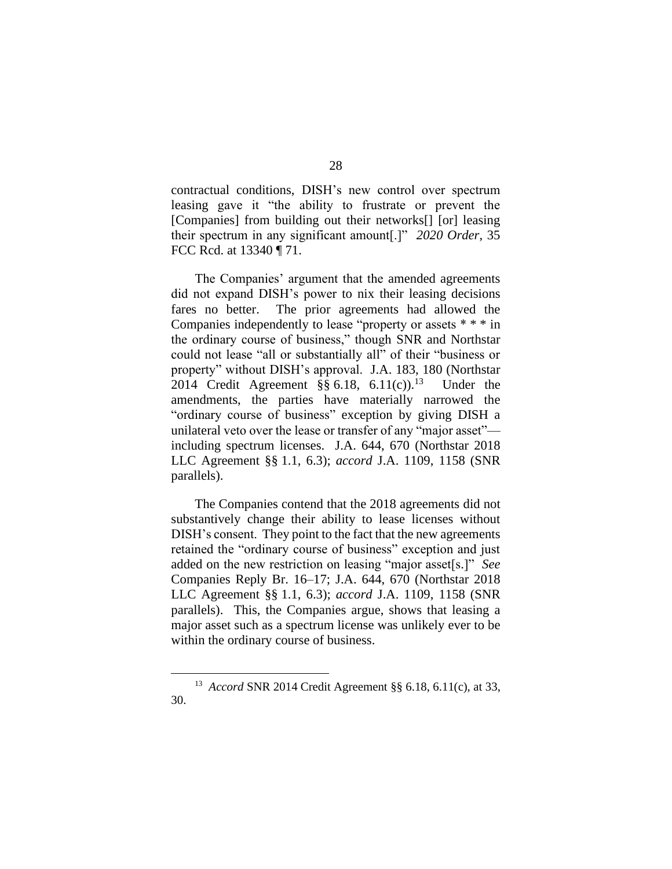contractual conditions, DISH's new control over spectrum leasing gave it "the ability to frustrate or prevent the [Companies] from building out their networks[] [or] leasing their spectrum in any significant amount[.]" *2020 Order*, 35 FCC Rcd. at 13340 ¶ 71.

The Companies' argument that the amended agreements did not expand DISH's power to nix their leasing decisions fares no better. The prior agreements had allowed the Companies independently to lease "property or assets \* \* \* in the ordinary course of business," though SNR and Northstar could not lease "all or substantially all" of their "business or property" without DISH's approval. J.A. 183, 180 (Northstar 2014 Credit Agreement  $\S § 6.18, 6.11(c).$ <sup>13</sup> Under the amendments, the parties have materially narrowed the "ordinary course of business" exception by giving DISH a unilateral veto over the lease or transfer of any "major asset" including spectrum licenses. J.A. 644, 670 (Northstar 2018 LLC Agreement §§ 1.1, 6.3); *accord* J.A. 1109, 1158 (SNR parallels).

The Companies contend that the 2018 agreements did not substantively change their ability to lease licenses without DISH's consent. They point to the fact that the new agreements retained the "ordinary course of business" exception and just added on the new restriction on leasing "major asset[s.]" *See* Companies Reply Br. 16–17; J.A. 644, 670 (Northstar 2018 LLC Agreement §§ 1.1, 6.3); *accord* J.A. 1109, 1158 (SNR parallels). This, the Companies argue, shows that leasing a major asset such as a spectrum license was unlikely ever to be within the ordinary course of business.

<sup>13</sup> *Accord* SNR 2014 Credit Agreement §§ 6.18, 6.11(c), at 33, 30.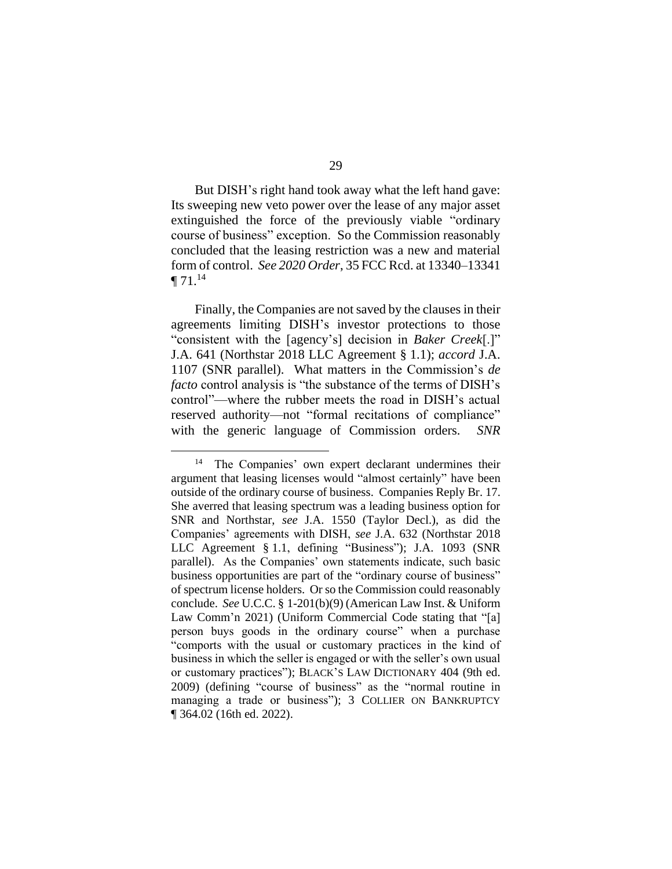But DISH's right hand took away what the left hand gave: Its sweeping new veto power over the lease of any major asset extinguished the force of the previously viable "ordinary course of business" exception. So the Commission reasonably concluded that the leasing restriction was a new and material form of control. *See 2020 Order*, 35 FCC Rcd. at 13340–13341  $\P 71.14$ 

Finally, the Companies are not saved by the clauses in their agreements limiting DISH's investor protections to those "consistent with the [agency's] decision in *Baker Creek*[.]" J.A. 641 (Northstar 2018 LLC Agreement § 1.1); *accord* J.A. 1107 (SNR parallel). What matters in the Commission's *de facto* control analysis is "the substance of the terms of DISH's control"—where the rubber meets the road in DISH's actual reserved authority—not "formal recitations of compliance" with the generic language of Commission orders. *SNR* 

<sup>14</sup> The Companies' own expert declarant undermines their argument that leasing licenses would "almost certainly" have been outside of the ordinary course of business. Companies Reply Br. 17. She averred that leasing spectrum was a leading business option for SNR and Northstar, *see* J.A. 1550 (Taylor Decl.), as did the Companies' agreements with DISH, *see* J.A. 632 (Northstar 2018 LLC Agreement § 1.1, defining "Business"); J.A. 1093 (SNR parallel). As the Companies' own statements indicate, such basic business opportunities are part of the "ordinary course of business" of spectrum license holders. Or so the Commission could reasonably conclude. *See* U.C.C. § 1-201(b)(9) (American Law Inst. & Uniform Law Comm'n 2021) (Uniform Commercial Code stating that "[a] person buys goods in the ordinary course" when a purchase "comports with the usual or customary practices in the kind of business in which the seller is engaged or with the seller's own usual or customary practices"); BLACK'S LAW DICTIONARY 404 (9th ed. 2009) (defining "course of business" as the "normal routine in managing a trade or business"); 3 COLLIER ON BANKRUPTCY ¶ 364.02 (16th ed. 2022).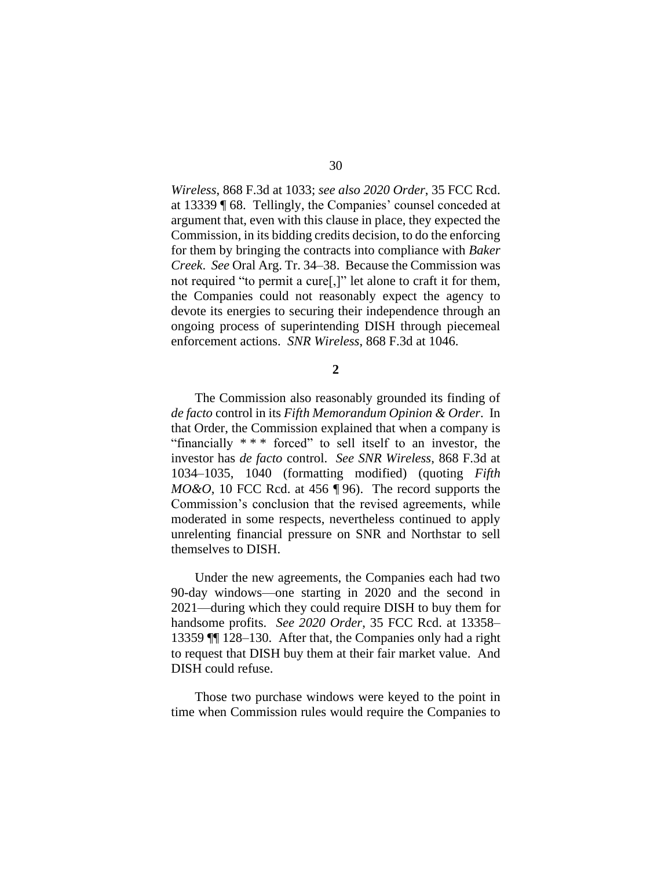*Wireless*, 868 F.3d at 1033; *see also 2020 Order*, 35 FCC Rcd. at 13339 ¶ 68. Tellingly, the Companies' counsel conceded at argument that, even with this clause in place, they expected the Commission, in its bidding credits decision, to do the enforcing for them by bringing the contracts into compliance with *Baker Creek*. *See* Oral Arg. Tr. 34–38. Because the Commission was not required "to permit a cure[,]" let alone to craft it for them, the Companies could not reasonably expect the agency to devote its energies to securing their independence through an ongoing process of superintending DISH through piecemeal enforcement actions. *SNR Wireless*, 868 F.3d at 1046.

**2**

The Commission also reasonably grounded its finding of *de facto* control in its *Fifth Memorandum Opinion & Order*. In that Order, the Commission explained that when a company is "financially  $**$ " forced" to sell itself to an investor, the investor has *de facto* control. *See SNR Wireless*, 868 F.3d at 1034–1035, 1040 (formatting modified) (quoting *Fifth MO&O*, 10 FCC Rcd. at 456 ¶ 96). The record supports the Commission's conclusion that the revised agreements, while moderated in some respects, nevertheless continued to apply unrelenting financial pressure on SNR and Northstar to sell themselves to DISH.

Under the new agreements, the Companies each had two 90-day windows—one starting in 2020 and the second in 2021—during which they could require DISH to buy them for handsome profits. *See 2020 Order*, 35 FCC Rcd. at 13358– 13359 ¶¶ 128–130. After that, the Companies only had a right to request that DISH buy them at their fair market value. And DISH could refuse.

Those two purchase windows were keyed to the point in time when Commission rules would require the Companies to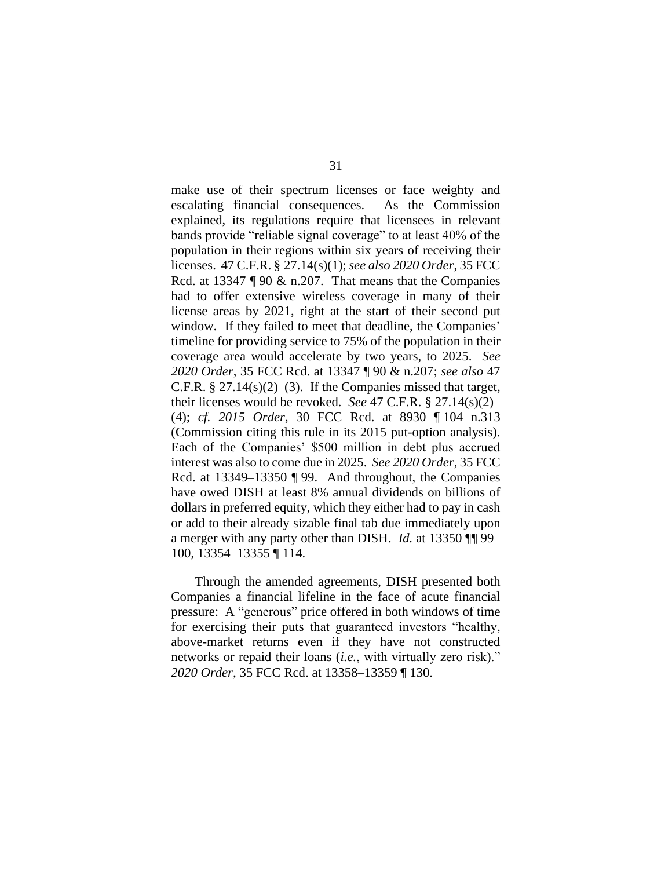make use of their spectrum licenses or face weighty and escalating financial consequences. As the Commission explained, its regulations require that licensees in relevant bands provide "reliable signal coverage" to at least 40% of the population in their regions within six years of receiving their licenses. 47 C.F.R. § 27.14(s)(1); *see also 2020 Order*, 35 FCC Rcd. at 13347 ¶ 90 & n.207. That means that the Companies had to offer extensive wireless coverage in many of their license areas by 2021, right at the start of their second put window. If they failed to meet that deadline, the Companies' timeline for providing service to 75% of the population in their coverage area would accelerate by two years, to 2025. *See 2020 Order*, 35 FCC Rcd. at 13347 ¶ 90 & n.207; *see also* 47 C.F.R.  $\S 27.14(s)(2)–(3)$ . If the Companies missed that target, their licenses would be revoked. *See* 47 C.F.R. § 27.14(s)(2)– (4); *cf. 2015 Order*, 30 FCC Rcd. at 8930 ¶ 104 n.313 (Commission citing this rule in its 2015 put-option analysis). Each of the Companies' \$500 million in debt plus accrued interest was also to come due in 2025. *See 2020 Order*, 35 FCC Rcd. at 13349–13350 ¶ 99. And throughout, the Companies have owed DISH at least 8% annual dividends on billions of dollars in preferred equity, which they either had to pay in cash or add to their already sizable final tab due immediately upon a merger with any party other than DISH. *Id.* at 13350 ¶¶ 99– 100, 13354–13355 ¶ 114.

Through the amended agreements, DISH presented both Companies a financial lifeline in the face of acute financial pressure: A "generous" price offered in both windows of time for exercising their puts that guaranteed investors "healthy, above-market returns even if they have not constructed networks or repaid their loans (*i.e.*, with virtually zero risk)." *2020 Order*, 35 FCC Rcd. at 13358–13359 ¶ 130.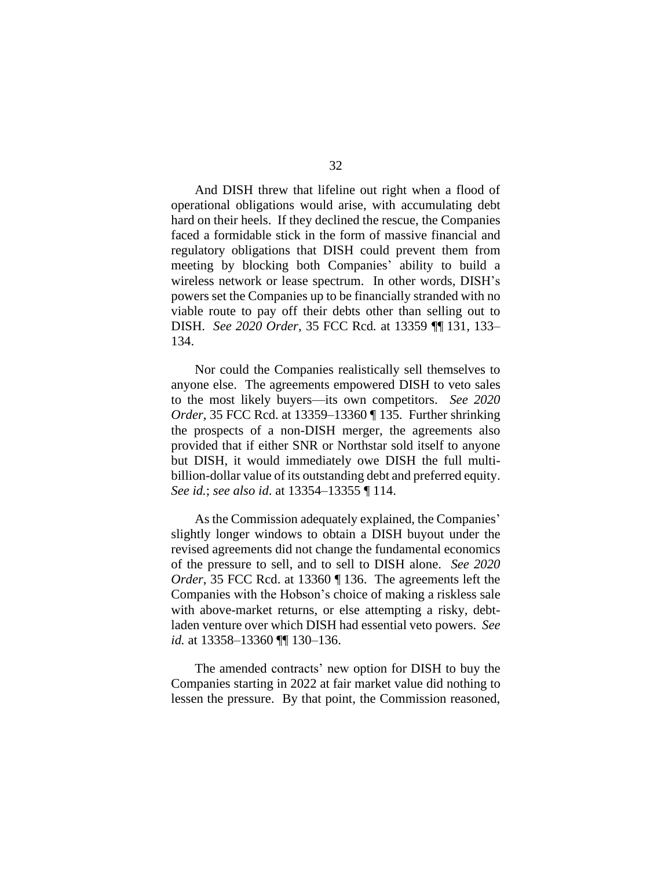And DISH threw that lifeline out right when a flood of operational obligations would arise, with accumulating debt hard on their heels. If they declined the rescue, the Companies faced a formidable stick in the form of massive financial and regulatory obligations that DISH could prevent them from meeting by blocking both Companies' ability to build a wireless network or lease spectrum. In other words, DISH's powers set the Companies up to be financially stranded with no viable route to pay off their debts other than selling out to DISH. *See 2020 Order*, 35 FCC Rcd*.* at 13359 ¶¶ 131, 133– 134.

Nor could the Companies realistically sell themselves to anyone else. The agreements empowered DISH to veto sales to the most likely buyers—its own competitors. *See 2020 Order*, 35 FCC Rcd. at 13359–13360 ¶ 135. Further shrinking the prospects of a non-DISH merger, the agreements also provided that if either SNR or Northstar sold itself to anyone but DISH, it would immediately owe DISH the full multibillion-dollar value of its outstanding debt and preferred equity. *See id.*; *see also id*. at 13354–13355 ¶ 114.

As the Commission adequately explained, the Companies' slightly longer windows to obtain a DISH buyout under the revised agreements did not change the fundamental economics of the pressure to sell, and to sell to DISH alone. *See 2020 Order*, 35 FCC Rcd. at 13360 ¶ 136. The agreements left the Companies with the Hobson's choice of making a riskless sale with above-market returns, or else attempting a risky, debtladen venture over which DISH had essential veto powers. *See id.* at 13358–13360 ¶¶ 130–136.

The amended contracts' new option for DISH to buy the Companies starting in 2022 at fair market value did nothing to lessen the pressure. By that point, the Commission reasoned,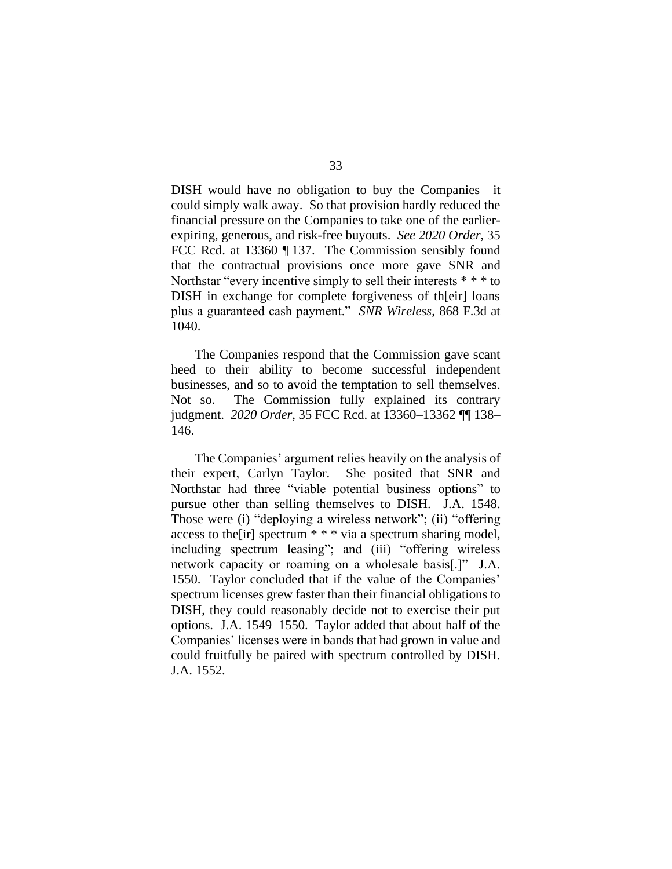DISH would have no obligation to buy the Companies—it could simply walk away. So that provision hardly reduced the financial pressure on the Companies to take one of the earlierexpiring, generous, and risk-free buyouts. *See 2020 Order*, 35 FCC Rcd. at 13360 ¶ 137. The Commission sensibly found that the contractual provisions once more gave SNR and Northstar "every incentive simply to sell their interests \* \* \* to DISH in exchange for complete forgiveness of th[eir] loans plus a guaranteed cash payment." *SNR Wireless*, 868 F.3d at 1040.

The Companies respond that the Commission gave scant heed to their ability to become successful independent businesses, and so to avoid the temptation to sell themselves. Not so. The Commission fully explained its contrary judgment. *2020 Order*, 35 FCC Rcd. at 13360–13362 ¶¶ 138– 146.

The Companies' argument relies heavily on the analysis of their expert, Carlyn Taylor. She posited that SNR and Northstar had three "viable potential business options" to pursue other than selling themselves to DISH. J.A. 1548. Those were (i) "deploying a wireless network"; (ii) "offering access to the[ir] spectrum \* \* \* via a spectrum sharing model, including spectrum leasing"; and (iii) "offering wireless network capacity or roaming on a wholesale basis[.]" J.A. 1550. Taylor concluded that if the value of the Companies' spectrum licenses grew faster than their financial obligations to DISH, they could reasonably decide not to exercise their put options. J.A. 1549–1550. Taylor added that about half of the Companies' licenses were in bands that had grown in value and could fruitfully be paired with spectrum controlled by DISH. J.A. 1552.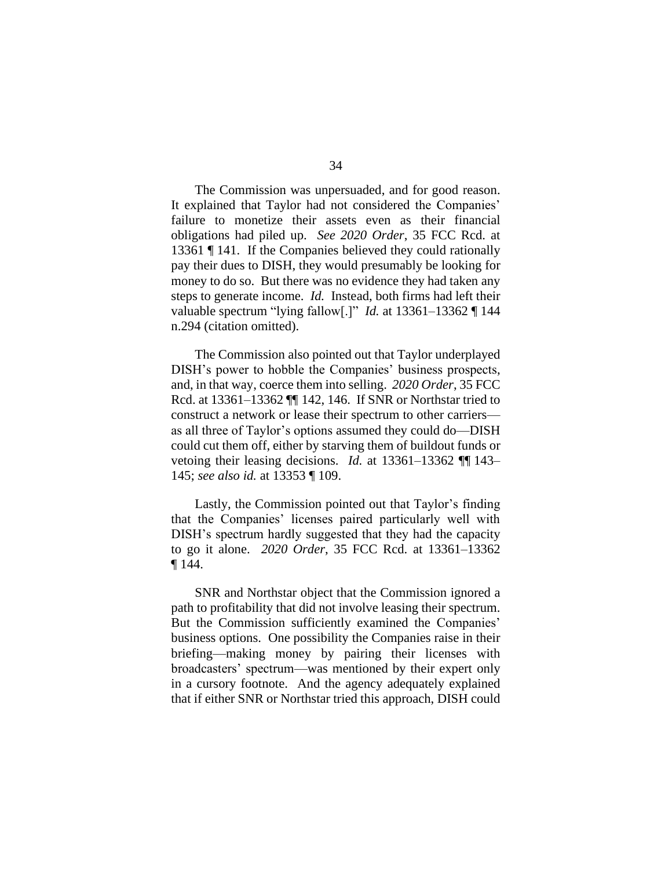The Commission was unpersuaded, and for good reason. It explained that Taylor had not considered the Companies' failure to monetize their assets even as their financial obligations had piled up. *See 2020 Order*, 35 FCC Rcd. at 13361 ¶ 141. If the Companies believed they could rationally pay their dues to DISH, they would presumably be looking for money to do so. But there was no evidence they had taken any steps to generate income. *Id.* Instead, both firms had left their valuable spectrum "lying fallow[.]" *Id.* at 13361–13362 ¶ 144 n.294 (citation omitted).

The Commission also pointed out that Taylor underplayed DISH's power to hobble the Companies' business prospects, and, in that way, coerce them into selling. *2020 Order*, 35 FCC Rcd. at 13361–13362 ¶¶ 142, 146. If SNR or Northstar tried to construct a network or lease their spectrum to other carriers as all three of Taylor's options assumed they could do—DISH could cut them off, either by starving them of buildout funds or vetoing their leasing decisions. *Id.* at 13361–13362 ¶¶ 143– 145; *see also id.* at 13353 ¶ 109.

Lastly, the Commission pointed out that Taylor's finding that the Companies' licenses paired particularly well with DISH's spectrum hardly suggested that they had the capacity to go it alone. *2020 Order*, 35 FCC Rcd. at 13361–13362 ¶ 144.

SNR and Northstar object that the Commission ignored a path to profitability that did not involve leasing their spectrum. But the Commission sufficiently examined the Companies' business options. One possibility the Companies raise in their briefing—making money by pairing their licenses with broadcasters' spectrum—was mentioned by their expert only in a cursory footnote. And the agency adequately explained that if either SNR or Northstar tried this approach, DISH could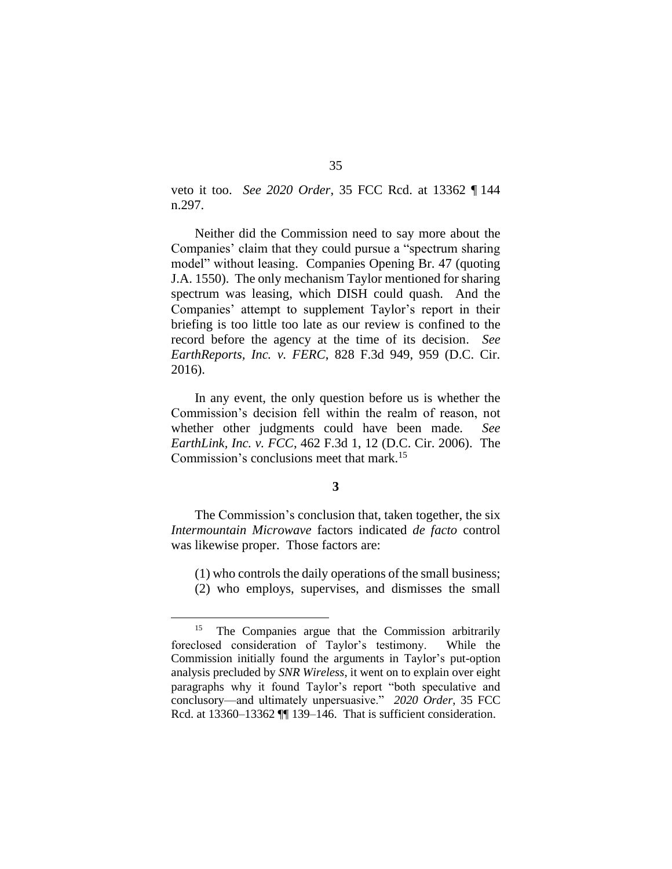veto it too. *See 2020 Order*, 35 FCC Rcd. at 13362 ¶ 144 n.297.

Neither did the Commission need to say more about the Companies' claim that they could pursue a "spectrum sharing model" without leasing. Companies Opening Br. 47 (quoting J.A. 1550). The only mechanism Taylor mentioned for sharing spectrum was leasing, which DISH could quash. And the Companies' attempt to supplement Taylor's report in their briefing is too little too late as our review is confined to the record before the agency at the time of its decision. *See EarthReports, Inc. v. FERC*, 828 F.3d 949, 959 (D.C. Cir. 2016).

In any event, the only question before us is whether the Commission's decision fell within the realm of reason, not whether other judgments could have been made. *See EarthLink, Inc. v. FCC*, 462 F.3d 1, 12 (D.C. Cir. 2006). The Commission's conclusions meet that mark. 15

## **3**

The Commission's conclusion that, taken together, the six *Intermountain Microwave* factors indicated *de facto* control was likewise proper. Those factors are:

(1) who controls the daily operations of the small business;

(2) who employs, supervises, and dismisses the small

<sup>&</sup>lt;sup>15</sup> The Companies argue that the Commission arbitrarily foreclosed consideration of Taylor's testimony. While the Commission initially found the arguments in Taylor's put-option analysis precluded by *SNR Wireless*, it went on to explain over eight paragraphs why it found Taylor's report "both speculative and conclusory—and ultimately unpersuasive." *2020 Order*, 35 FCC Rcd. at 13360–13362 ¶ 139–146. That is sufficient consideration.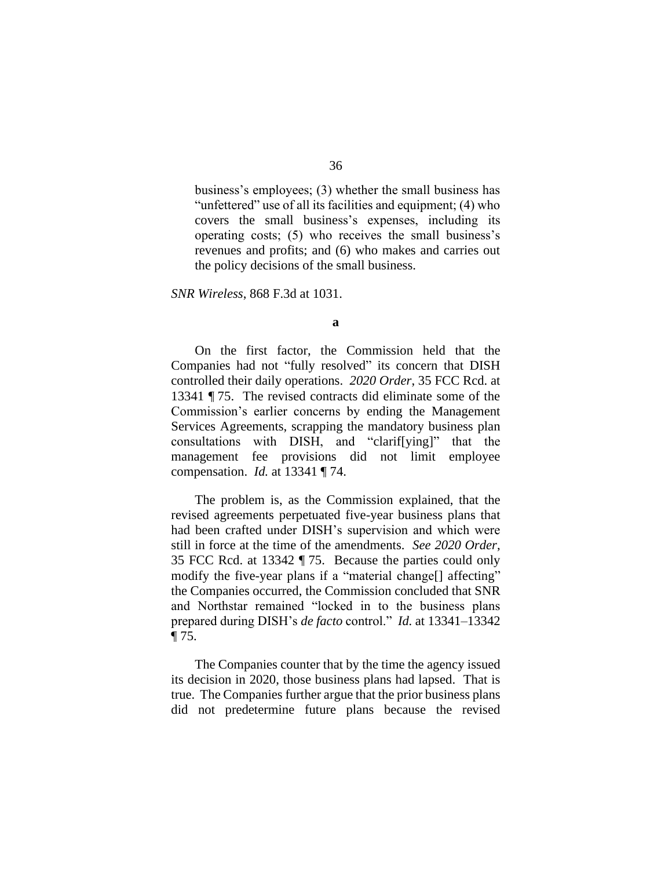business's employees; (3) whether the small business has "unfettered" use of all its facilities and equipment; (4) who covers the small business's expenses, including its operating costs; (5) who receives the small business's revenues and profits; and (6) who makes and carries out the policy decisions of the small business.

*SNR Wireless*, 868 F.3d at 1031.

On the first factor, the Commission held that the Companies had not "fully resolved" its concern that DISH controlled their daily operations. *2020 Order*, 35 FCC Rcd. at 13341 ¶ 75. The revised contracts did eliminate some of the Commission's earlier concerns by ending the Management Services Agreements, scrapping the mandatory business plan consultations with DISH, and "clarif[ying]" that the management fee provisions did not limit employee compensation. *Id.* at 13341 ¶ 74.

The problem is, as the Commission explained, that the revised agreements perpetuated five-year business plans that had been crafted under DISH's supervision and which were still in force at the time of the amendments. *See 2020 Order*, 35 FCC Rcd. at 13342 ¶ 75. Because the parties could only modify the five-year plans if a "material change<sup>[]</sup> affecting" the Companies occurred, the Commission concluded that SNR and Northstar remained "locked in to the business plans prepared during DISH's *de facto* control." *Id.* at 13341–13342 ¶ 75.

The Companies counter that by the time the agency issued its decision in 2020, those business plans had lapsed. That is true. The Companies further argue that the prior business plans did not predetermine future plans because the revised

**a**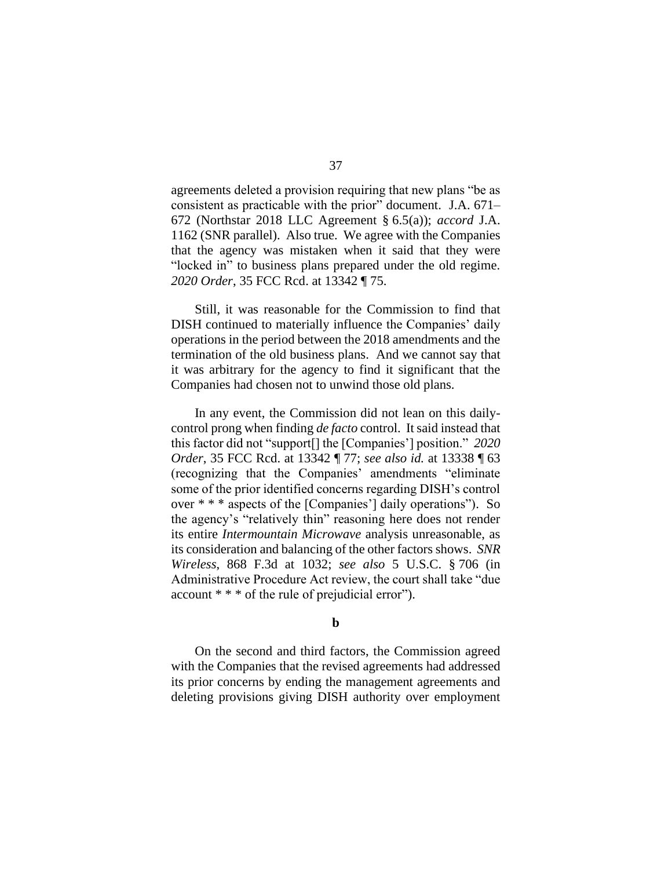agreements deleted a provision requiring that new plans "be as consistent as practicable with the prior" document. J.A. 671– 672 (Northstar 2018 LLC Agreement § 6.5(a)); *accord* J.A. 1162 (SNR parallel). Also true. We agree with the Companies that the agency was mistaken when it said that they were "locked in" to business plans prepared under the old regime. *2020 Order*, 35 FCC Rcd. at 13342 ¶ 75.

Still, it was reasonable for the Commission to find that DISH continued to materially influence the Companies' daily operations in the period between the 2018 amendments and the termination of the old business plans. And we cannot say that it was arbitrary for the agency to find it significant that the Companies had chosen not to unwind those old plans.

In any event, the Commission did not lean on this dailycontrol prong when finding *de facto* control. It said instead that this factor did not "support[] the [Companies'] position." *2020 Order*, 35 FCC Rcd. at 13342 ¶ 77; *see also id.* at 13338 ¶ 63 (recognizing that the Companies' amendments "eliminate some of the prior identified concerns regarding DISH's control over \* \* \* aspects of the [Companies'] daily operations"). So the agency's "relatively thin" reasoning here does not render its entire *Intermountain Microwave* analysis unreasonable, as its consideration and balancing of the other factors shows. *SNR Wireless*, 868 F.3d at 1032; *see also* 5 U.S.C. § 706 (in Administrative Procedure Act review, the court shall take "due account \* \* \* of the rule of prejudicial error").

#### **b**

On the second and third factors, the Commission agreed with the Companies that the revised agreements had addressed its prior concerns by ending the management agreements and deleting provisions giving DISH authority over employment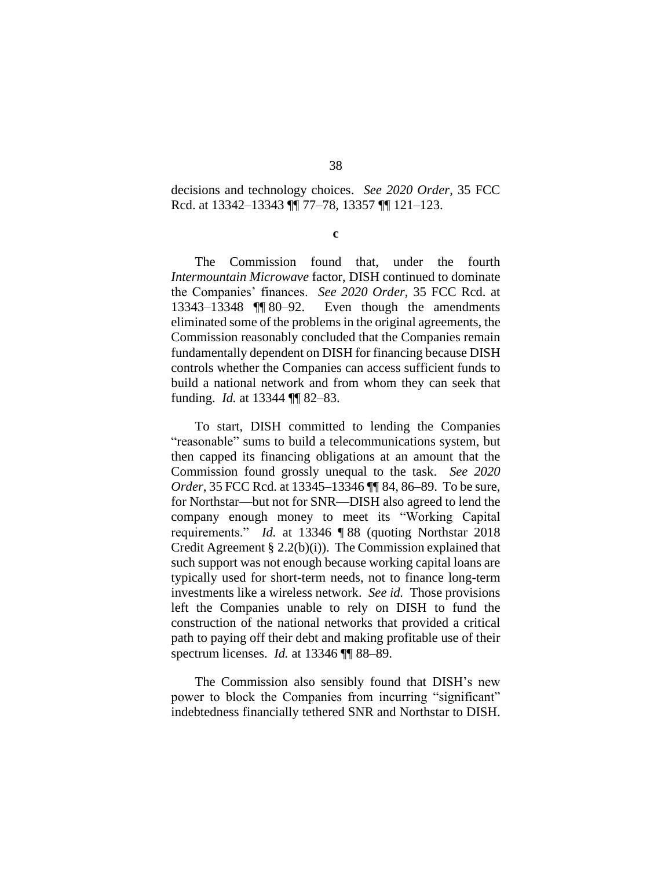decisions and technology choices. *See 2020 Order*, 35 FCC Rcd. at 13342–13343 ¶¶ 77–78, 13357 ¶¶ 121–123.

**c**

The Commission found that, under the fourth *Intermountain Microwave* factor, DISH continued to dominate the Companies' finances. *See 2020 Order*, 35 FCC Rcd. at 13343–13348 ¶¶ 80–92. Even though the amendments eliminated some of the problems in the original agreements, the Commission reasonably concluded that the Companies remain fundamentally dependent on DISH for financing because DISH controls whether the Companies can access sufficient funds to build a national network and from whom they can seek that funding. *Id.* at 13344 ¶¶ 82–83.

To start, DISH committed to lending the Companies "reasonable" sums to build a telecommunications system, but then capped its financing obligations at an amount that the Commission found grossly unequal to the task. *See 2020 Order*, 35 FCC Rcd. at 13345–13346 ¶¶ 84, 86–89. To be sure, for Northstar—but not for SNR—DISH also agreed to lend the company enough money to meet its "Working Capital requirements." *Id.* at 13346 ¶ 88 (quoting Northstar 2018 Credit Agreement § 2.2(b)(i)). The Commission explained that such support was not enough because working capital loans are typically used for short-term needs, not to finance long-term investments like a wireless network. *See id.* Those provisions left the Companies unable to rely on DISH to fund the construction of the national networks that provided a critical path to paying off their debt and making profitable use of their spectrum licenses. *Id.* at 13346 ¶¶ 88–89.

The Commission also sensibly found that DISH's new power to block the Companies from incurring "significant" indebtedness financially tethered SNR and Northstar to DISH.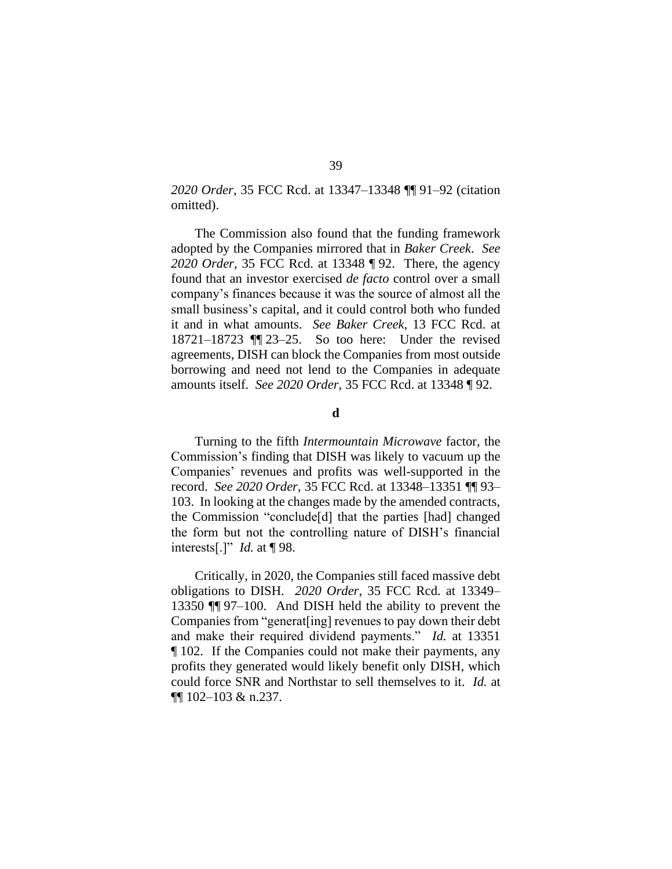*2020 Order*, 35 FCC Rcd. at 13347–13348 ¶¶ 91–92 (citation omitted).

The Commission also found that the funding framework adopted by the Companies mirrored that in *Baker Creek*. *See 2020 Order*, 35 FCC Rcd. at 13348 ¶ 92. There, the agency found that an investor exercised *de facto* control over a small company's finances because it was the source of almost all the small business's capital, and it could control both who funded it and in what amounts. *See Baker Creek*, 13 FCC Rcd. at 18721–18723 ¶¶ 23–25. So too here: Under the revised agreements, DISH can block the Companies from most outside borrowing and need not lend to the Companies in adequate amounts itself. *See 2020 Order*, 35 FCC Rcd. at 13348 ¶ 92.

#### **d**

Turning to the fifth *Intermountain Microwave* factor, the Commission's finding that DISH was likely to vacuum up the Companies' revenues and profits was well-supported in the record. *See 2020 Order*, 35 FCC Rcd. at 13348–13351 ¶¶ 93– 103. In looking at the changes made by the amended contracts, the Commission "conclude[d] that the parties [had] changed the form but not the controlling nature of DISH's financial interests[.]" *Id.* at ¶ 98.

Critically, in 2020, the Companies still faced massive debt obligations to DISH. *2020 Order*, 35 FCC Rcd. at 13349– 13350 ¶¶ 97–100. And DISH held the ability to prevent the Companies from "generat[ing] revenues to pay down their debt and make their required dividend payments." *Id.* at 13351 ¶ 102. If the Companies could not make their payments, any profits they generated would likely benefit only DISH, which could force SNR and Northstar to sell themselves to it. *Id.* at ¶¶ 102–103 & n.237.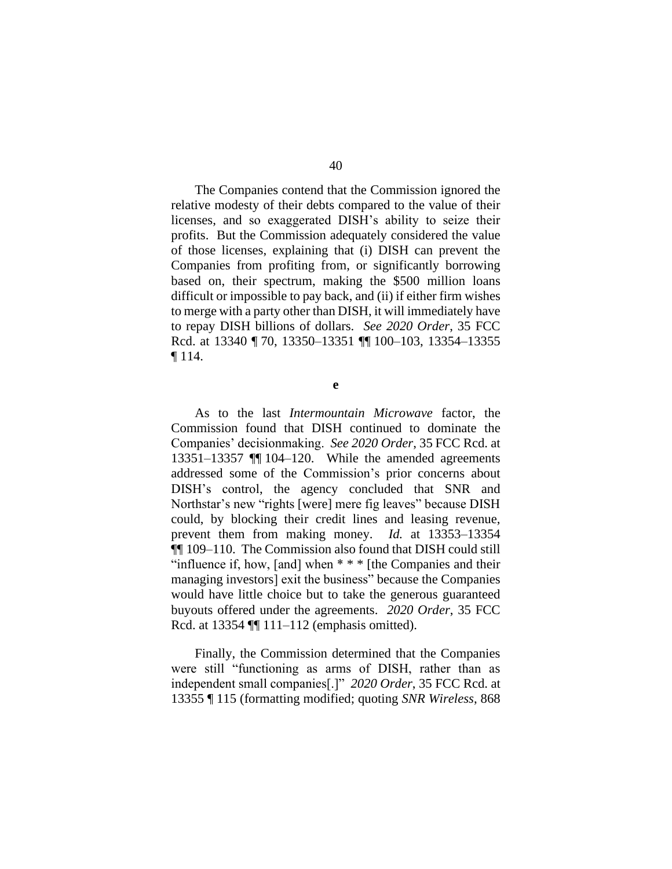The Companies contend that the Commission ignored the relative modesty of their debts compared to the value of their licenses, and so exaggerated DISH's ability to seize their profits. But the Commission adequately considered the value of those licenses, explaining that (i) DISH can prevent the Companies from profiting from, or significantly borrowing based on, their spectrum, making the \$500 million loans difficult or impossible to pay back, and (ii) if either firm wishes to merge with a party other than DISH, it will immediately have to repay DISH billions of dollars. *See 2020 Order*, 35 FCC Rcd. at 13340 ¶ 70, 13350–13351 ¶¶ 100–103, 13354–13355 ¶ 114.

**e**

As to the last *Intermountain Microwave* factor, the Commission found that DISH continued to dominate the Companies' decisionmaking. *See 2020 Order*, 35 FCC Rcd. at 13351–13357 ¶¶ 104–120. While the amended agreements addressed some of the Commission's prior concerns about DISH's control, the agency concluded that SNR and Northstar's new "rights [were] mere fig leaves" because DISH could, by blocking their credit lines and leasing revenue, prevent them from making money. *Id.* at 13353–13354 ¶¶ 109–110. The Commission also found that DISH could still "influence if, how, [and] when  $**$   $*$  [the Companies and their managing investors] exit the business" because the Companies would have little choice but to take the generous guaranteed buyouts offered under the agreements. *2020 Order*, 35 FCC Rcd. at 13354 ¶¶ 111–112 (emphasis omitted).

Finally, the Commission determined that the Companies were still "functioning as arms of DISH, rather than as independent small companies[.]" *2020 Order*, 35 FCC Rcd. at 13355 ¶ 115 (formatting modified; quoting *SNR Wireless*, 868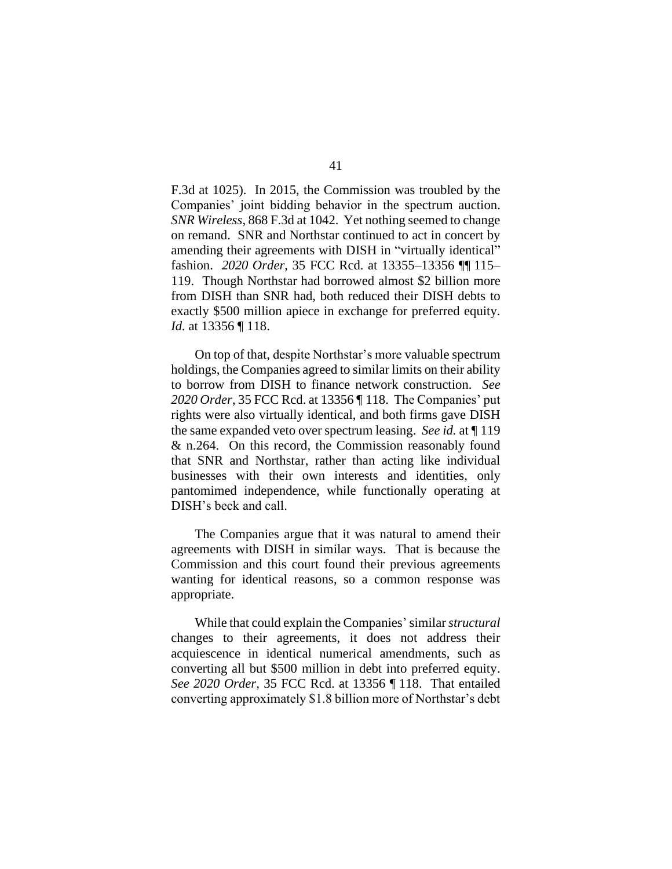F.3d at 1025). In 2015, the Commission was troubled by the Companies' joint bidding behavior in the spectrum auction. *SNR Wireless*, 868 F.3d at 1042. Yet nothing seemed to change on remand. SNR and Northstar continued to act in concert by amending their agreements with DISH in "virtually identical" fashion. *2020 Order*, 35 FCC Rcd. at 13355–13356 ¶¶ 115– 119. Though Northstar had borrowed almost \$2 billion more from DISH than SNR had, both reduced their DISH debts to exactly \$500 million apiece in exchange for preferred equity. *Id.* at 13356 ¶ 118.

On top of that, despite Northstar's more valuable spectrum holdings, the Companies agreed to similar limits on their ability to borrow from DISH to finance network construction. *See 2020 Order*, 35 FCC Rcd. at 13356 ¶ 118. The Companies' put rights were also virtually identical, and both firms gave DISH the same expanded veto over spectrum leasing. *See id.* at ¶ 119 & n.264. On this record, the Commission reasonably found that SNR and Northstar, rather than acting like individual businesses with their own interests and identities, only pantomimed independence, while functionally operating at DISH's beck and call.

The Companies argue that it was natural to amend their agreements with DISH in similar ways. That is because the Commission and this court found their previous agreements wanting for identical reasons, so a common response was appropriate.

While that could explain the Companies'similar *structural* changes to their agreements, it does not address their acquiescence in identical numerical amendments, such as converting all but \$500 million in debt into preferred equity. *See 2020 Order*, 35 FCC Rcd. at 13356 ¶ 118. That entailed converting approximately \$1.8 billion more of Northstar's debt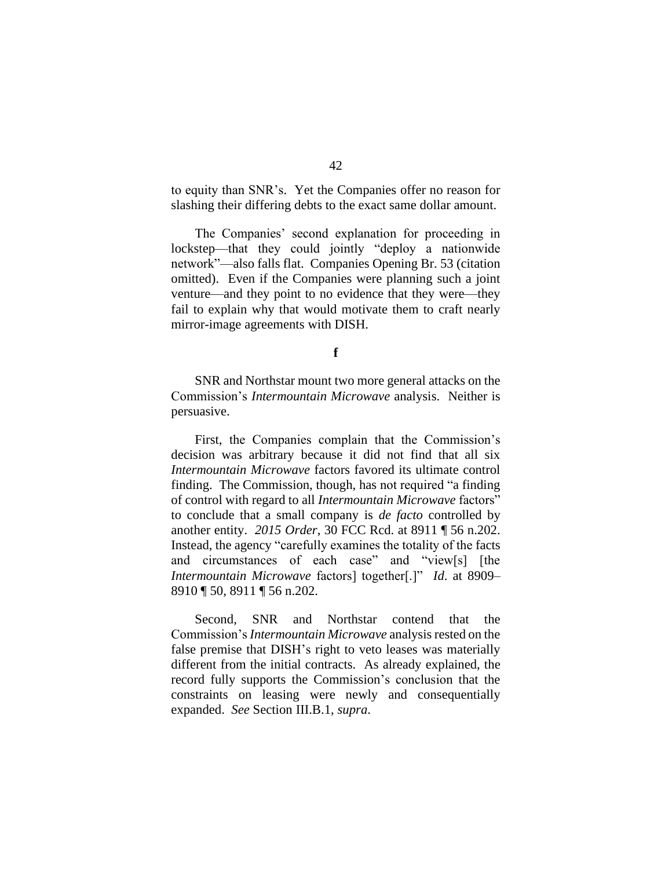to equity than SNR's. Yet the Companies offer no reason for slashing their differing debts to the exact same dollar amount.

The Companies' second explanation for proceeding in lockstep—that they could jointly "deploy a nationwide network"—also falls flat. Companies Opening Br. 53 (citation omitted). Even if the Companies were planning such a joint venture—and they point to no evidence that they were—they fail to explain why that would motivate them to craft nearly mirror-image agreements with DISH.

**f**

SNR and Northstar mount two more general attacks on the Commission's *Intermountain Microwave* analysis. Neither is persuasive.

First, the Companies complain that the Commission's decision was arbitrary because it did not find that all six *Intermountain Microwave* factors favored its ultimate control finding. The Commission, though, has not required "a finding of control with regard to all *Intermountain Microwave* factors" to conclude that a small company is *de facto* controlled by another entity. *2015 Order*, 30 FCC Rcd. at 8911 ¶ 56 n.202. Instead, the agency "carefully examines the totality of the facts and circumstances of each case" and "view[s] [the *Intermountain Microwave* factors] together[.]" *Id*. at 8909– 8910 ¶ 50, 8911 ¶ 56 n.202.

Second, SNR and Northstar contend that the Commission's *Intermountain Microwave* analysis rested on the false premise that DISH's right to veto leases was materially different from the initial contracts. As already explained, the record fully supports the Commission's conclusion that the constraints on leasing were newly and consequentially expanded. *See* Section III.B.1, *supra*.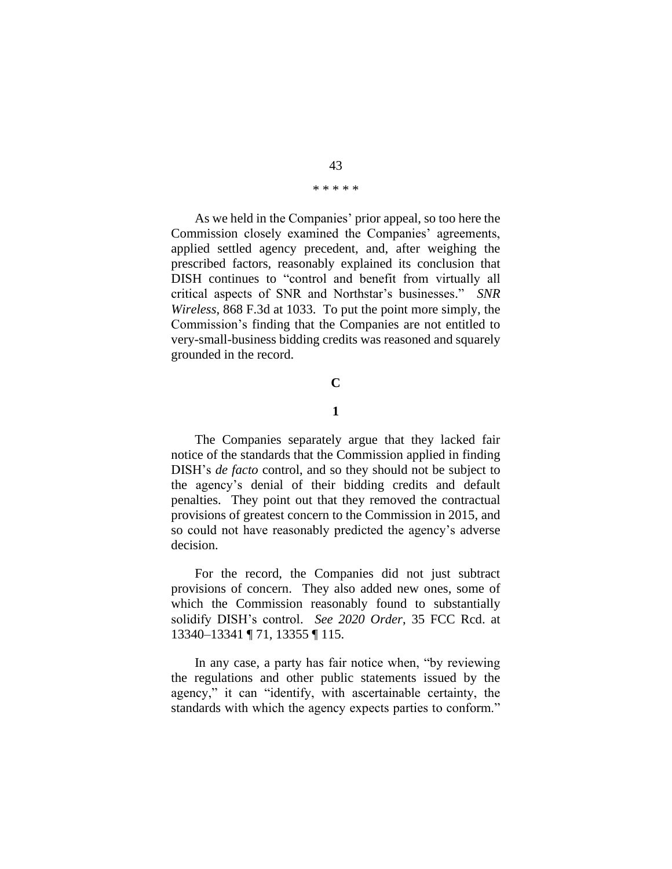#### \* \* \* \* \*

As we held in the Companies' prior appeal, so too here the Commission closely examined the Companies' agreements, applied settled agency precedent, and, after weighing the prescribed factors, reasonably explained its conclusion that DISH continues to "control and benefit from virtually all critical aspects of SNR and Northstar's businesses." *SNR Wireless*, 868 F.3d at 1033. To put the point more simply, the Commission's finding that the Companies are not entitled to very-small-business bidding credits was reasoned and squarely grounded in the record.

#### **C**

### **1**

The Companies separately argue that they lacked fair notice of the standards that the Commission applied in finding DISH's *de facto* control, and so they should not be subject to the agency's denial of their bidding credits and default penalties. They point out that they removed the contractual provisions of greatest concern to the Commission in 2015, and so could not have reasonably predicted the agency's adverse decision.

For the record, the Companies did not just subtract provisions of concern. They also added new ones, some of which the Commission reasonably found to substantially solidify DISH's control. *See 2020 Order*, 35 FCC Rcd. at 13340–13341 ¶ 71, 13355 ¶ 115.

In any case, a party has fair notice when, "by reviewing the regulations and other public statements issued by the agency," it can "identify, with ascertainable certainty, the standards with which the agency expects parties to conform."

## 43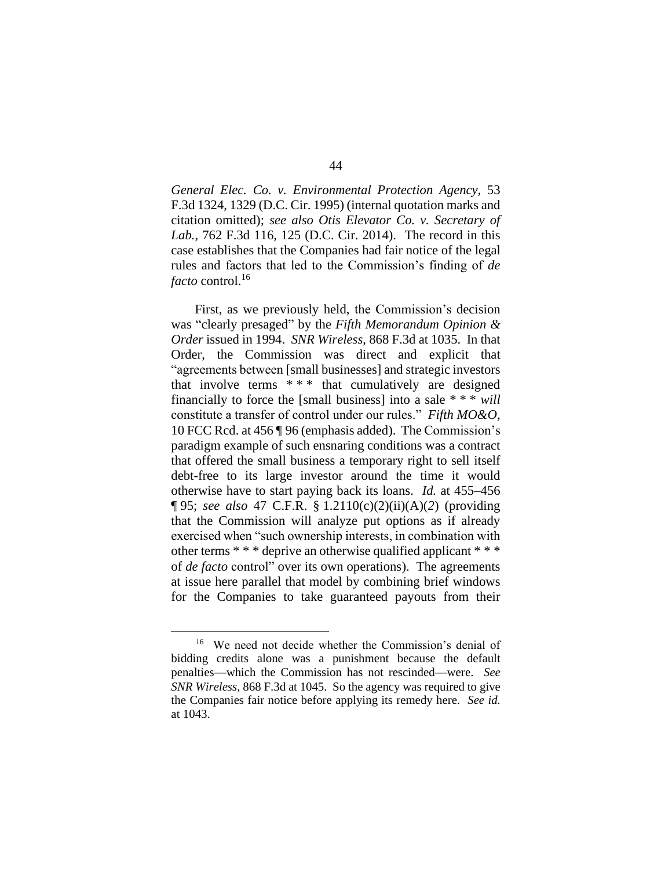*General Elec. Co. v. Environmental Protection Agency*, 53 F.3d 1324, 1329 (D.C. Cir. 1995) (internal quotation marks and citation omitted); *see also Otis Elevator Co. v. Secretary of Lab.*, 762 F.3d 116, 125 (D.C. Cir. 2014). The record in this case establishes that the Companies had fair notice of the legal rules and factors that led to the Commission's finding of *de facto* control.<sup>16</sup>

First, as we previously held, the Commission's decision was "clearly presaged" by the *Fifth Memorandum Opinion & Order* issued in 1994. *SNR Wireless*, 868 F.3d at 1035. In that Order, the Commission was direct and explicit that "agreements between [small businesses] and strategic investors that involve terms  $***$  that cumulatively are designed financially to force the [small business] into a sale \* \* \* *will* constitute a transfer of control under our rules." *Fifth MO&O*, 10 FCC Rcd. at 456 ¶ 96 (emphasis added). The Commission's paradigm example of such ensnaring conditions was a contract that offered the small business a temporary right to sell itself debt-free to its large investor around the time it would otherwise have to start paying back its loans. *Id.* at 455–456 ¶ 95; *see also* 47 C.F.R. § 1.2110(c)(2)(ii)(A)(*2*) (providing that the Commission will analyze put options as if already exercised when "such ownership interests, in combination with other terms \* \* \* deprive an otherwise qualified applicant \* \* \* of *de facto* control" over its own operations). The agreements at issue here parallel that model by combining brief windows for the Companies to take guaranteed payouts from their

<sup>16</sup> We need not decide whether the Commission's denial of bidding credits alone was a punishment because the default penalties—which the Commission has not rescinded—were. *See SNR Wireless*, 868 F.3d at 1045. So the agency was required to give the Companies fair notice before applying its remedy here. *See id.*  at 1043.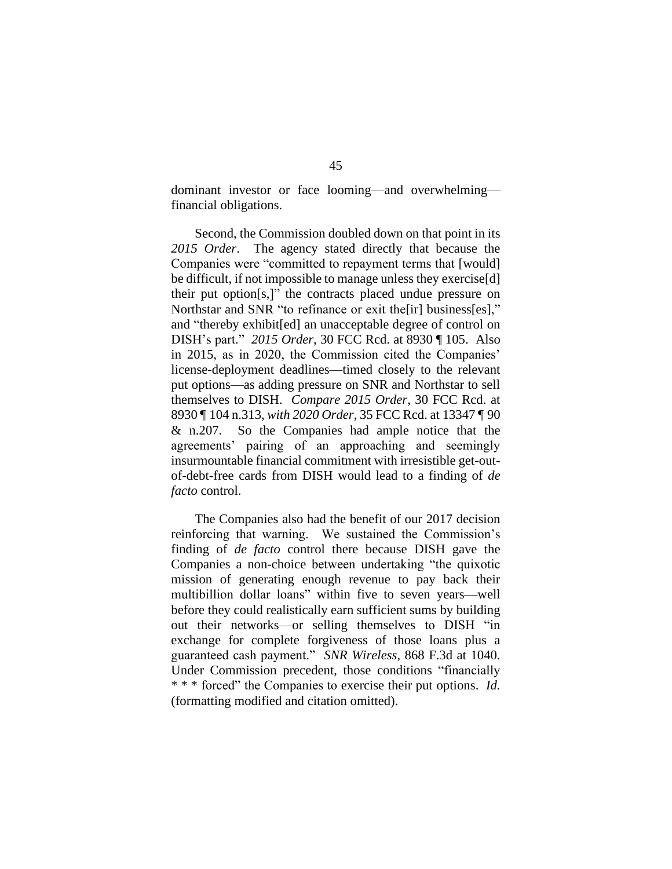dominant investor or face looming—and overwhelming financial obligations.

Second, the Commission doubled down on that point in its *2015 Order*. The agency stated directly that because the Companies were "committed to repayment terms that [would] be difficult, if not impossible to manage unless they exercise[d] their put option[s,]" the contracts placed undue pressure on Northstar and SNR "to refinance or exit the[ir] business[es]," and "thereby exhibit[ed] an unacceptable degree of control on DISH's part." *2015 Order*, 30 FCC Rcd. at 8930 ¶ 105. Also in 2015, as in 2020, the Commission cited the Companies' license-deployment deadlines—timed closely to the relevant put options—as adding pressure on SNR and Northstar to sell themselves to DISH. *Compare 2015 Order*, 30 FCC Rcd. at 8930 ¶ 104 n.313, *with 2020 Order*, 35 FCC Rcd. at 13347 ¶ 90 & n.207. So the Companies had ample notice that the agreements' pairing of an approaching and seemingly insurmountable financial commitment with irresistible get-outof-debt-free cards from DISH would lead to a finding of *de facto* control.

The Companies also had the benefit of our 2017 decision reinforcing that warning. We sustained the Commission's finding of *de facto* control there because DISH gave the Companies a non-choice between undertaking "the quixotic mission of generating enough revenue to pay back their multibillion dollar loans" within five to seven years—well before they could realistically earn sufficient sums by building out their networks—or selling themselves to DISH "in exchange for complete forgiveness of those loans plus a guaranteed cash payment." *SNR Wireless*, 868 F.3d at 1040. Under Commission precedent, those conditions "financially \* \* \* forced" the Companies to exercise their put options. *Id.* (formatting modified and citation omitted).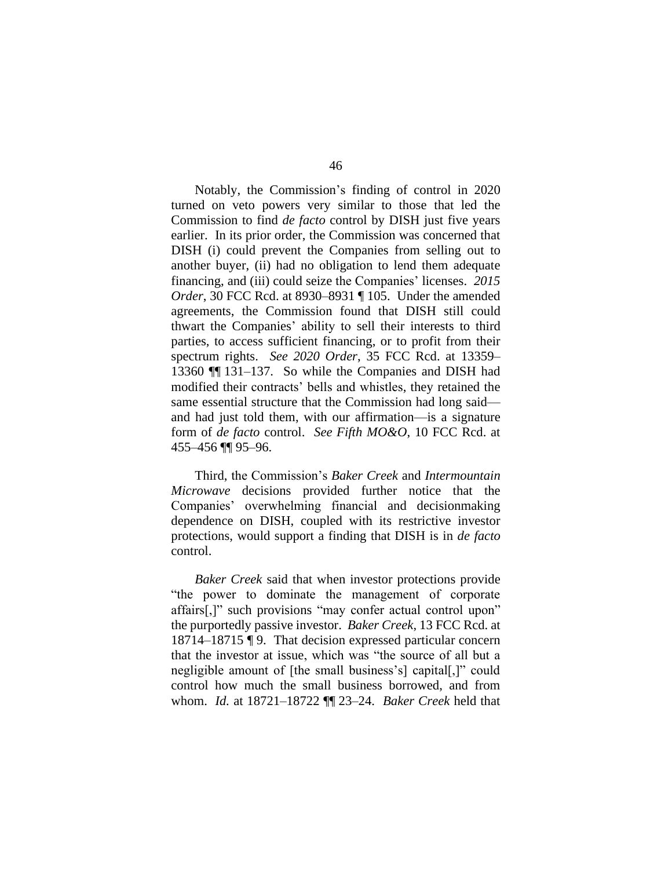Notably, the Commission's finding of control in 2020 turned on veto powers very similar to those that led the Commission to find *de facto* control by DISH just five years earlier. In its prior order, the Commission was concerned that DISH (i) could prevent the Companies from selling out to another buyer, (ii) had no obligation to lend them adequate financing, and (iii) could seize the Companies' licenses. *2015 Order*, 30 FCC Rcd. at 8930–8931 ¶ 105. Under the amended agreements, the Commission found that DISH still could thwart the Companies' ability to sell their interests to third parties, to access sufficient financing, or to profit from their spectrum rights. *See 2020 Order*, 35 FCC Rcd. at 13359– 13360 ¶¶ 131–137. So while the Companies and DISH had modified their contracts' bells and whistles, they retained the same essential structure that the Commission had long said and had just told them, with our affirmation—is a signature form of *de facto* control. *See Fifth MO&O*, 10 FCC Rcd. at 455–456 ¶¶ 95–96.

Third, the Commission's *Baker Creek* and *Intermountain Microwave* decisions provided further notice that the Companies' overwhelming financial and decisionmaking dependence on DISH, coupled with its restrictive investor protections, would support a finding that DISH is in *de facto*  control.

*Baker Creek* said that when investor protections provide "the power to dominate the management of corporate affairs[,]" such provisions "may confer actual control upon" the purportedly passive investor. *Baker Creek*, 13 FCC Rcd. at 18714–18715 ¶ 9. That decision expressed particular concern that the investor at issue, which was "the source of all but a negligible amount of [the small business's] capital[,]" could control how much the small business borrowed, and from whom. *Id.* at 18721–18722 ¶¶ 23–24. *Baker Creek* held that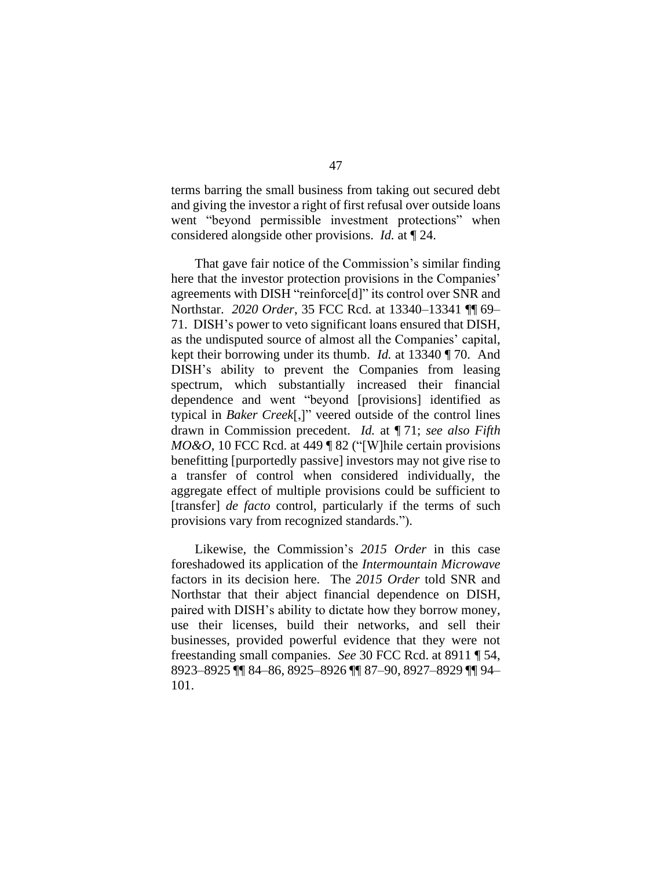terms barring the small business from taking out secured debt and giving the investor a right of first refusal over outside loans went "beyond permissible investment protections" when considered alongside other provisions. *Id.* at ¶ 24.

That gave fair notice of the Commission's similar finding here that the investor protection provisions in the Companies' agreements with DISH "reinforce[d]" its control over SNR and Northstar. *2020 Order*, 35 FCC Rcd. at 13340–13341 ¶¶ 69– 71. DISH's power to veto significant loans ensured that DISH, as the undisputed source of almost all the Companies' capital, kept their borrowing under its thumb. *Id.* at 13340 ¶ 70. And DISH's ability to prevent the Companies from leasing spectrum, which substantially increased their financial dependence and went "beyond [provisions] identified as typical in *Baker Creek*[,]" veered outside of the control lines drawn in Commission precedent. *Id.* at ¶ 71; *see also Fifth MO&O*, 10 FCC Rcd. at 449 ¶ 82 ("[W] hile certain provisions benefitting [purportedly passive] investors may not give rise to a transfer of control when considered individually, the aggregate effect of multiple provisions could be sufficient to [transfer] *de facto* control, particularly if the terms of such provisions vary from recognized standards.").

Likewise, the Commission's *2015 Order* in this case foreshadowed its application of the *Intermountain Microwave*  factors in its decision here. The *2015 Order* told SNR and Northstar that their abject financial dependence on DISH, paired with DISH's ability to dictate how they borrow money, use their licenses, build their networks, and sell their businesses, provided powerful evidence that they were not freestanding small companies. *See* 30 FCC Rcd. at 8911 ¶ 54, 8923–8925 ¶¶ 84–86, 8925–8926 ¶¶ 87–90, 8927–8929 ¶¶ 94– 101.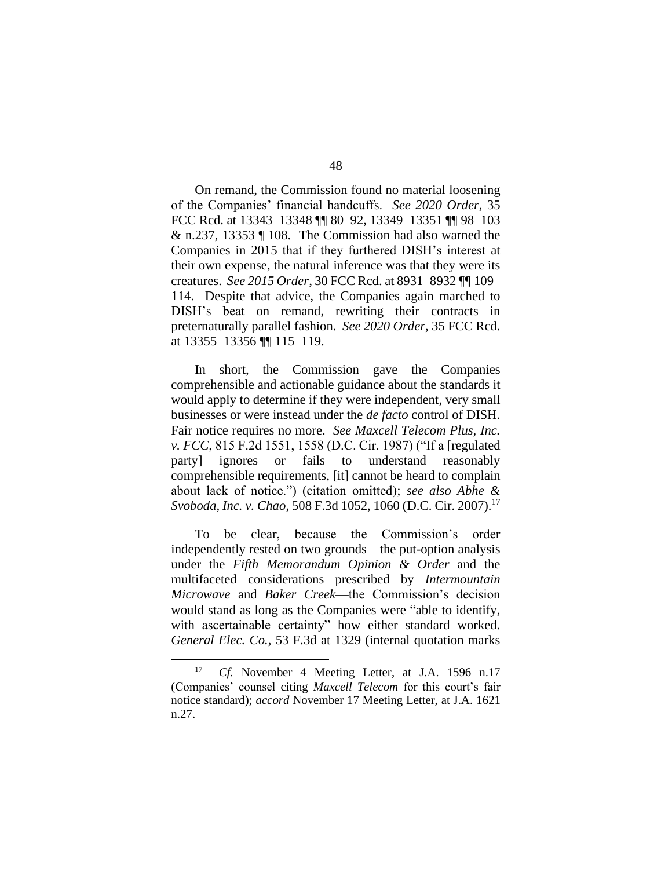On remand, the Commission found no material loosening of the Companies' financial handcuffs. *See 2020 Order*, 35 FCC Rcd. at 13343–13348 ¶¶ 80–92, 13349–13351 ¶¶ 98–103 & n.237, 13353 ¶ 108. The Commission had also warned the Companies in 2015 that if they furthered DISH's interest at their own expense, the natural inference was that they were its creatures. *See 2015 Order*, 30 FCC Rcd. at 8931–8932 ¶¶ 109– 114. Despite that advice, the Companies again marched to DISH's beat on remand, rewriting their contracts in preternaturally parallel fashion. *See 2020 Order*, 35 FCC Rcd. at 13355–13356 ¶¶ 115–119.

In short, the Commission gave the Companies comprehensible and actionable guidance about the standards it would apply to determine if they were independent, very small businesses or were instead under the *de facto* control of DISH. Fair notice requires no more. *See Maxcell Telecom Plus, Inc. v. FCC*, 815 F.2d 1551, 1558 (D.C. Cir. 1987) ("If a [regulated party] ignores or fails to understand reasonably comprehensible requirements, [it] cannot be heard to complain about lack of notice.") (citation omitted); *see also Abhe & Svoboda, Inc. v. Chao*, 508 F.3d 1052, 1060 (D.C. Cir. 2007). 17

To be clear, because the Commission's order independently rested on two grounds—the put-option analysis under the *Fifth Memorandum Opinion & Order* and the multifaceted considerations prescribed by *Intermountain Microwave* and *Baker Creek*—the Commission's decision would stand as long as the Companies were "able to identify, with ascertainable certainty" how either standard worked. *General Elec. Co.*, 53 F.3d at 1329 (internal quotation marks

<sup>17</sup> *Cf.* November 4 Meeting Letter, at J.A. 1596 n.17 (Companies' counsel citing *Maxcell Telecom* for this court's fair notice standard); *accord* November 17 Meeting Letter, at J.A. 1621 n.27.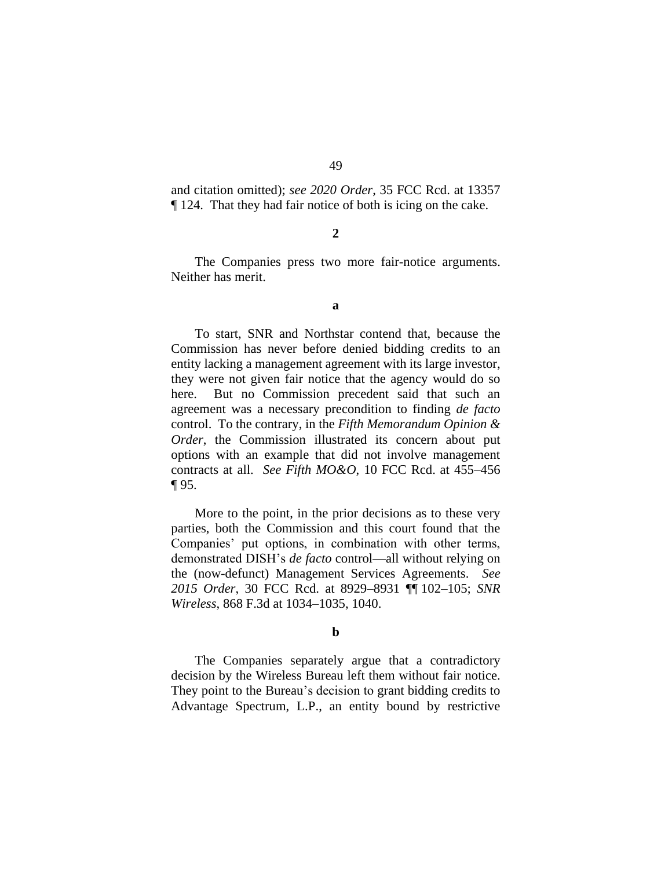and citation omitted); *see 2020 Order*, 35 FCC Rcd. at 13357 ¶ 124. That they had fair notice of both is icing on the cake.

#### **2**

The Companies press two more fair-notice arguments. Neither has merit.

#### **a**

To start, SNR and Northstar contend that, because the Commission has never before denied bidding credits to an entity lacking a management agreement with its large investor, they were not given fair notice that the agency would do so here. But no Commission precedent said that such an agreement was a necessary precondition to finding *de facto*  control. To the contrary, in the *Fifth Memorandum Opinion & Order*, the Commission illustrated its concern about put options with an example that did not involve management contracts at all. *See Fifth MO&O*, 10 FCC Rcd. at 455–456 ¶ 95.

More to the point, in the prior decisions as to these very parties, both the Commission and this court found that the Companies' put options, in combination with other terms, demonstrated DISH's *de facto* control—all without relying on the (now-defunct) Management Services Agreements. *See 2015 Order*, 30 FCC Rcd. at 8929–8931 ¶¶ 102–105; *SNR Wireless*, 868 F.3d at 1034–1035, 1040.

#### **b**

The Companies separately argue that a contradictory decision by the Wireless Bureau left them without fair notice. They point to the Bureau's decision to grant bidding credits to Advantage Spectrum, L.P., an entity bound by restrictive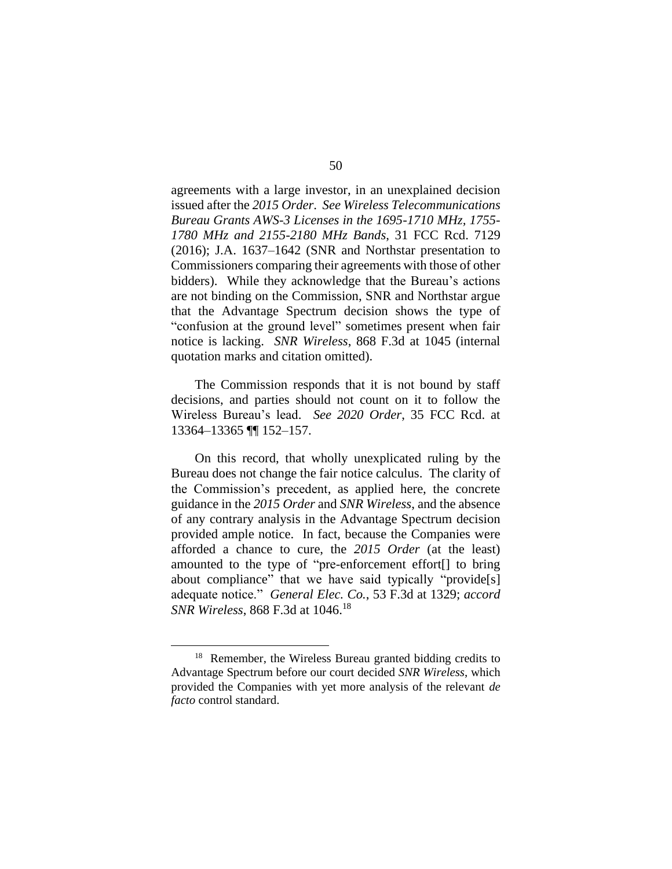agreements with a large investor, in an unexplained decision issued after the *2015 Order*. *See Wireless Telecommunications Bureau Grants AWS-3 Licenses in the 1695-1710 MHz, 1755- 1780 MHz and 2155-2180 MHz Bands*, 31 FCC Rcd. 7129 (2016); J.A. 1637–1642 (SNR and Northstar presentation to Commissioners comparing their agreements with those of other bidders). While they acknowledge that the Bureau's actions are not binding on the Commission, SNR and Northstar argue that the Advantage Spectrum decision shows the type of "confusion at the ground level" sometimes present when fair notice is lacking. *SNR Wireless*, 868 F.3d at 1045 (internal quotation marks and citation omitted).

The Commission responds that it is not bound by staff decisions, and parties should not count on it to follow the Wireless Bureau's lead. *See 2020 Order*, 35 FCC Rcd. at 13364–13365 ¶¶ 152–157.

On this record, that wholly unexplicated ruling by the Bureau does not change the fair notice calculus. The clarity of the Commission's precedent, as applied here, the concrete guidance in the *2015 Order* and *SNR Wireless*, and the absence of any contrary analysis in the Advantage Spectrum decision provided ample notice. In fact, because the Companies were afforded a chance to cure, the *2015 Order* (at the least) amounted to the type of "pre-enforcement effort[] to bring about compliance" that we have said typically "provide[s] adequate notice." *General Elec. Co.*, 53 F.3d at 1329; *accord SNR Wireless*, 868 F.3d at 1046.<sup>18</sup>

<sup>&</sup>lt;sup>18</sup> Remember, the Wireless Bureau granted bidding credits to Advantage Spectrum before our court decided *SNR Wireless*, which provided the Companies with yet more analysis of the relevant *de facto* control standard.